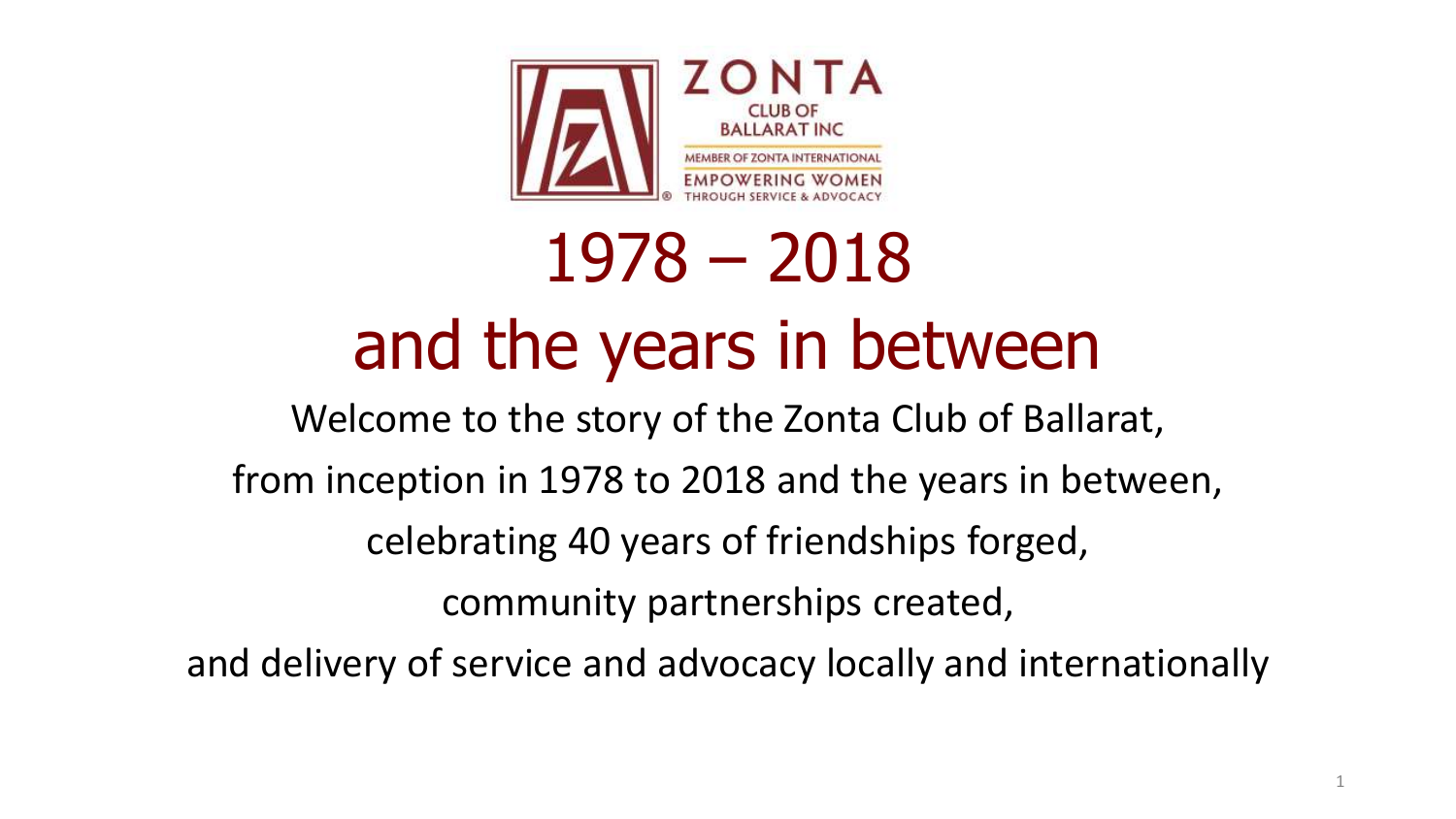

# 1978 – 2018 and the years in between

Welcome to the story of the Zonta Club of Ballarat, from inception in 1978 to 2018 and the years in between, celebrating 40 years of friendships forged, community partnerships created,

and delivery of service and advocacy locally and internationally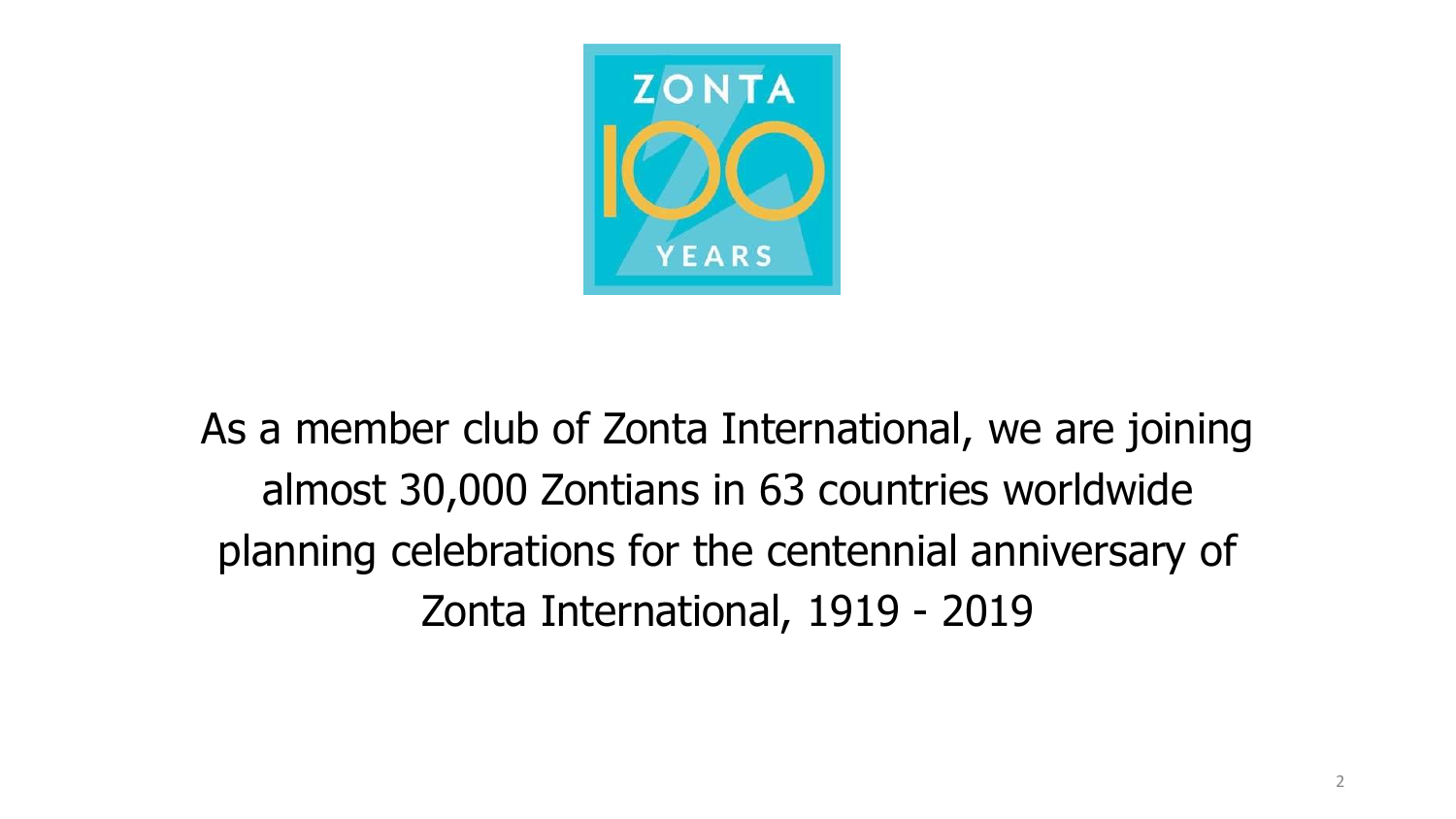

As a member club of Zonta International, we are joining almost 30,000 Zontians in 63 countries worldwide planning celebrations for the centennial anniversary of Zonta International, 1919 - 2019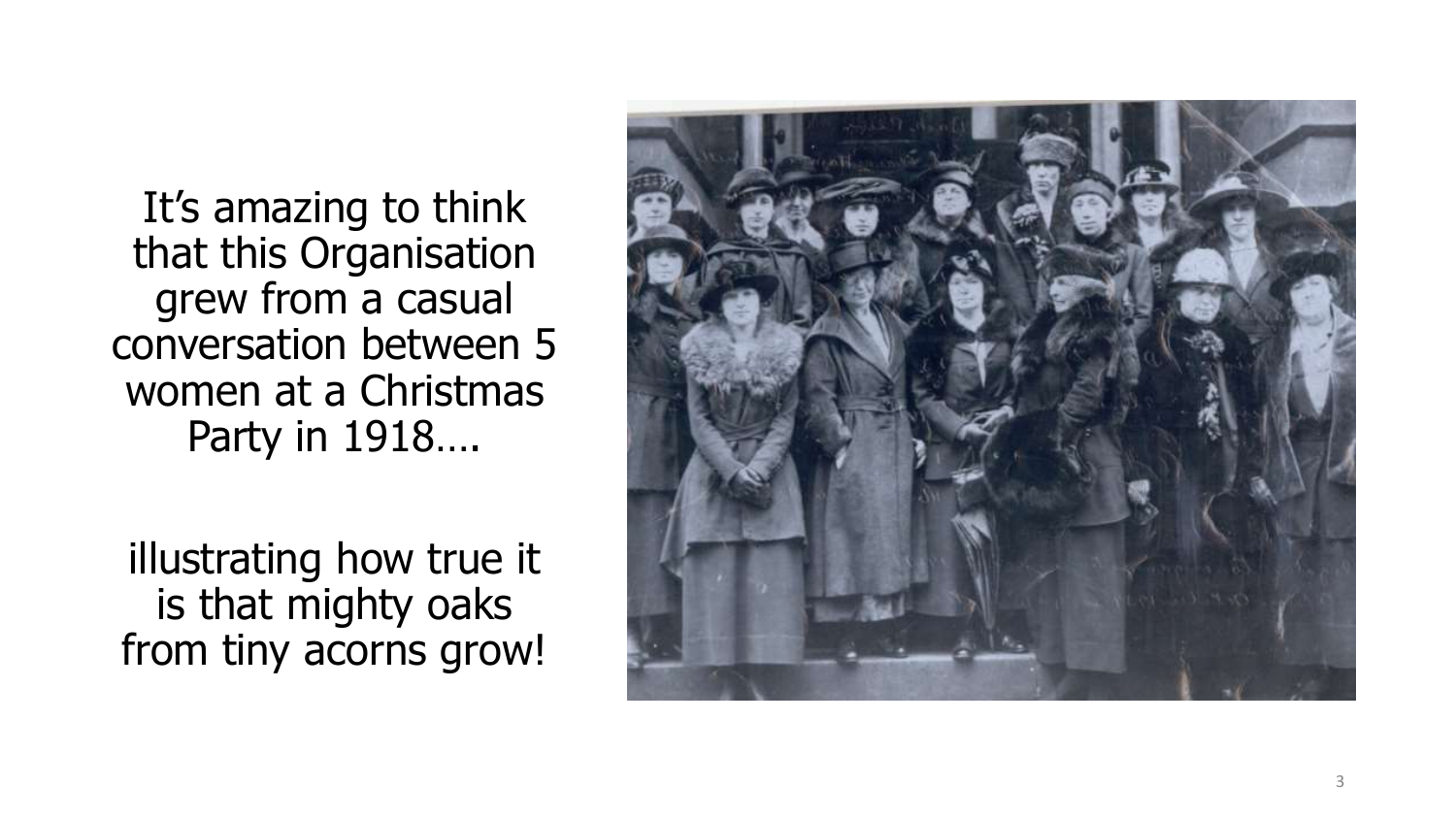It's amazing to think that this Organisation grew from a casual conversation between 5 women at a Christmas Party in 1918….

illustrating how true it is that mighty oaks from tiny acorns grow!

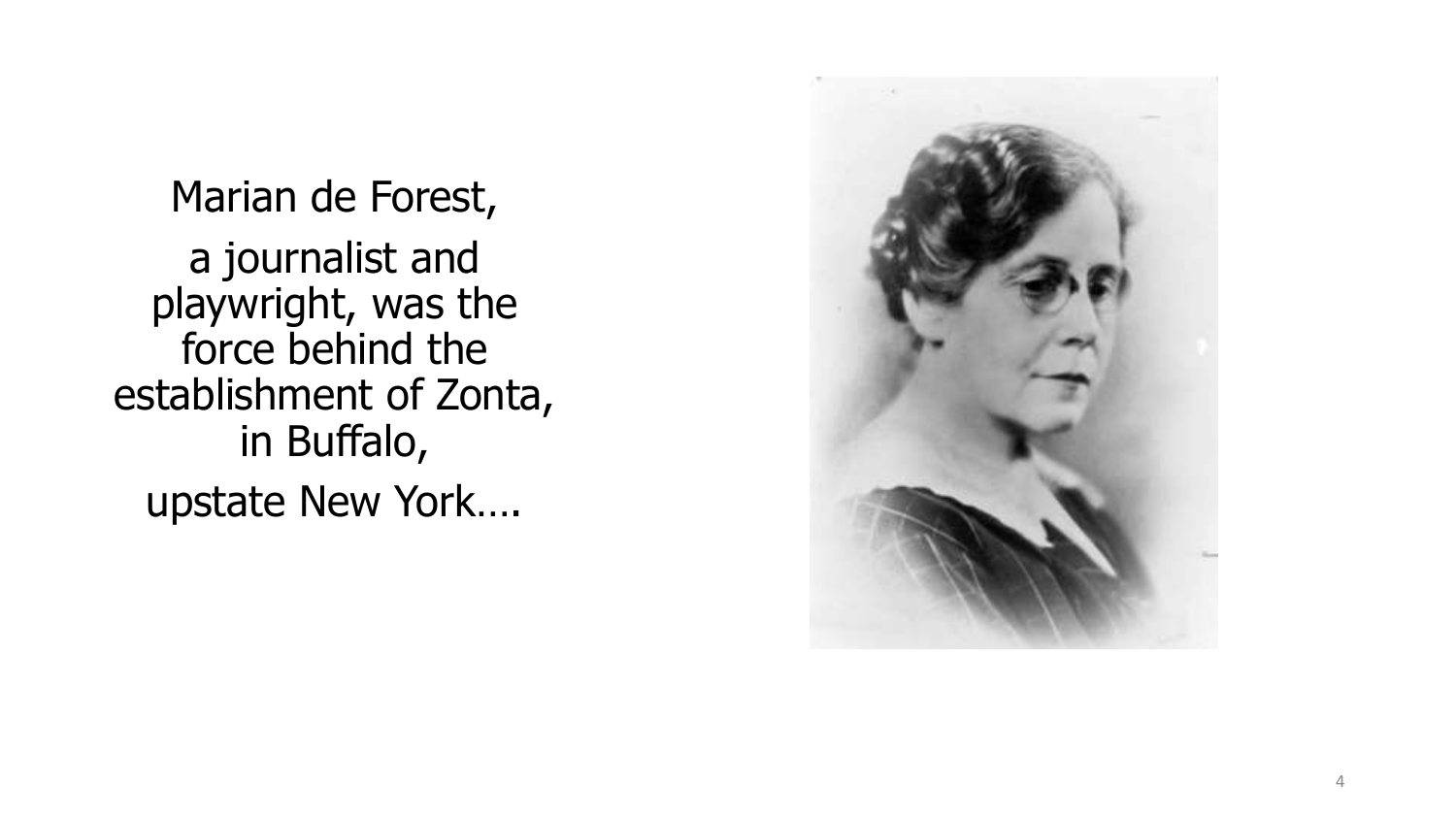Marian de Forest, a journalist and playwright, was the force behind the establishment of Zonta, in Buffalo, upstate New York….

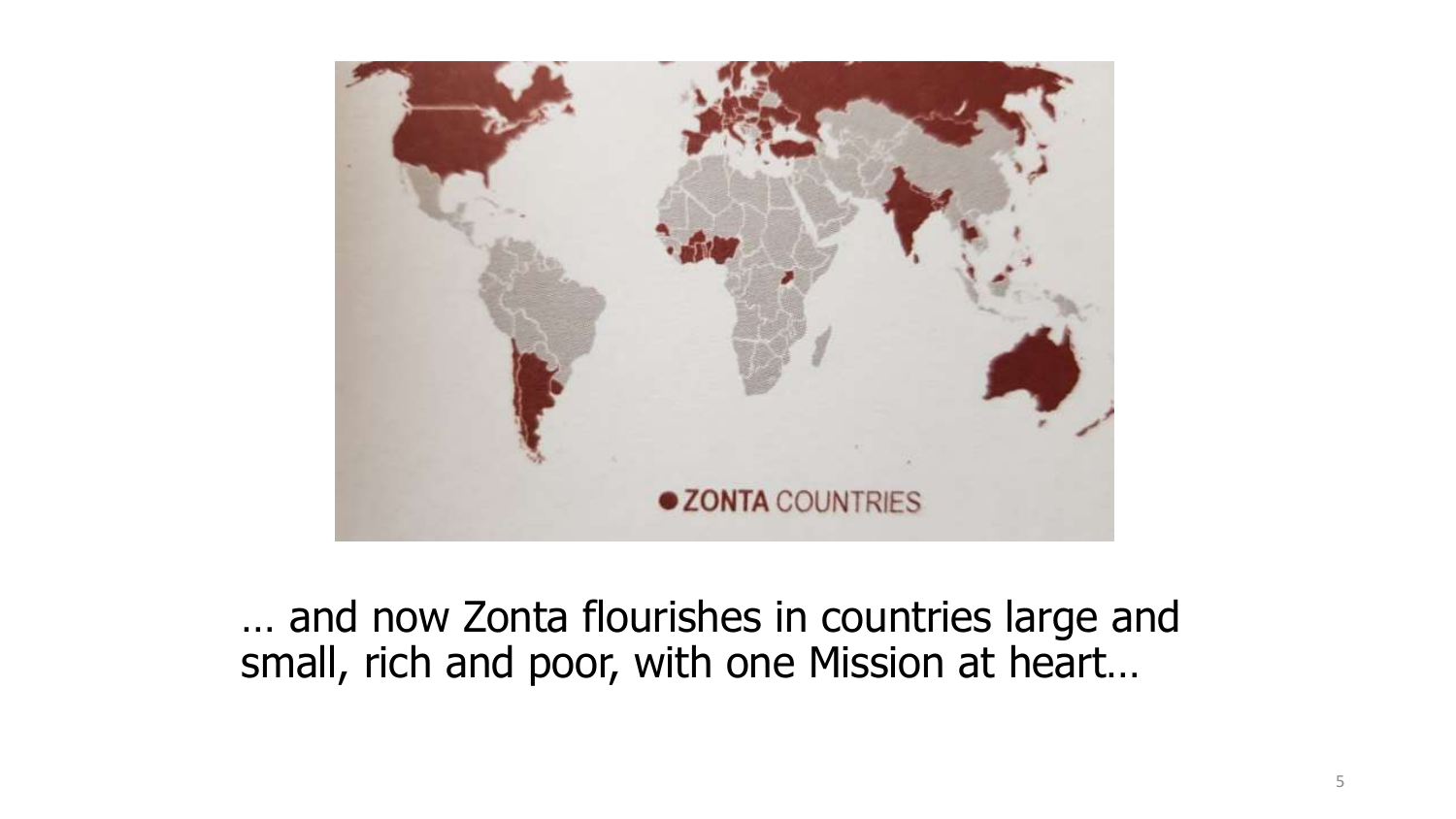

… and now Zonta flourishes in countries large and small, rich and poor, with one Mission at heart…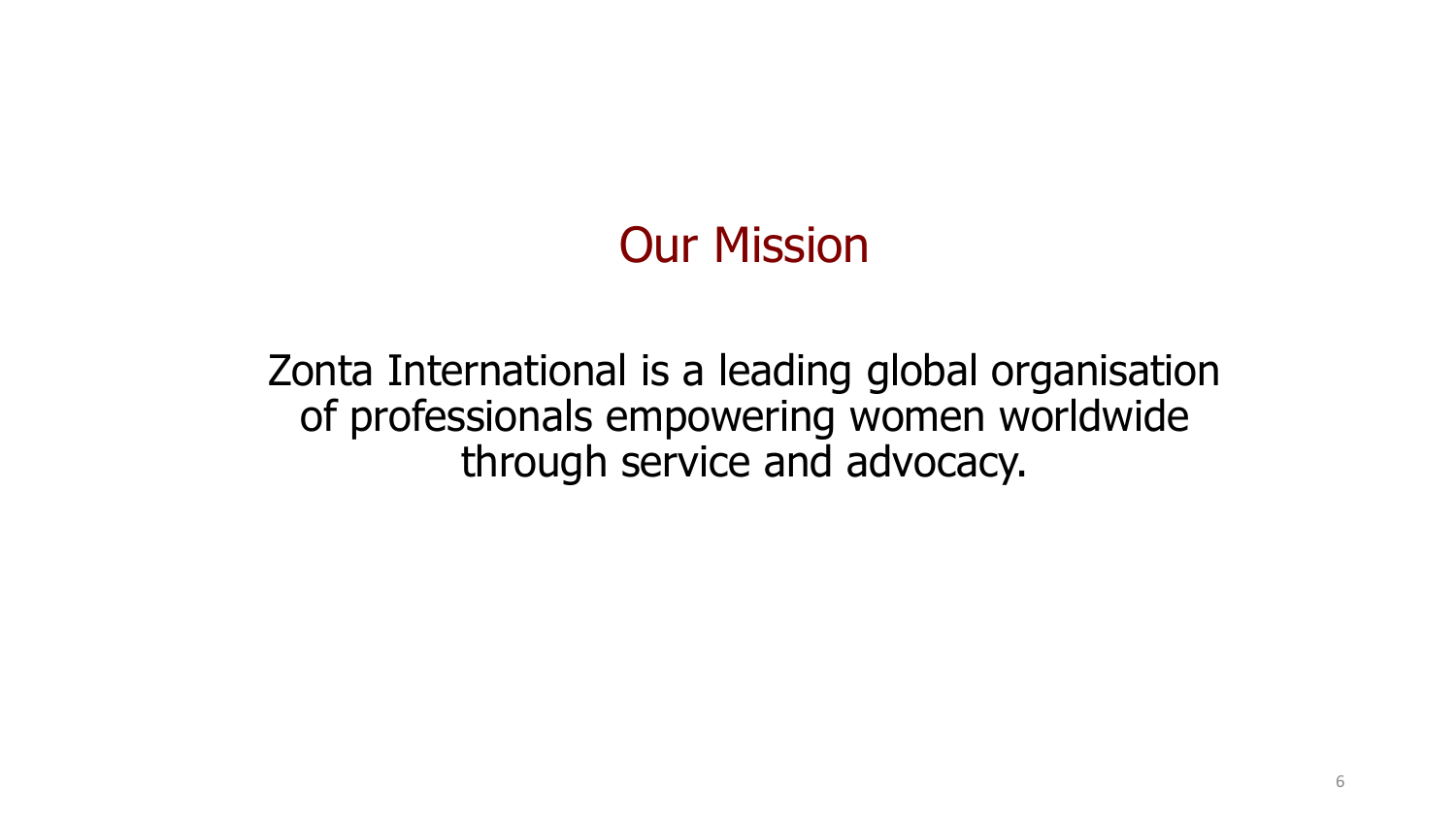# Our Mission

Zonta International is a leading global organisation of professionals empowering women worldwide through service and advocacy.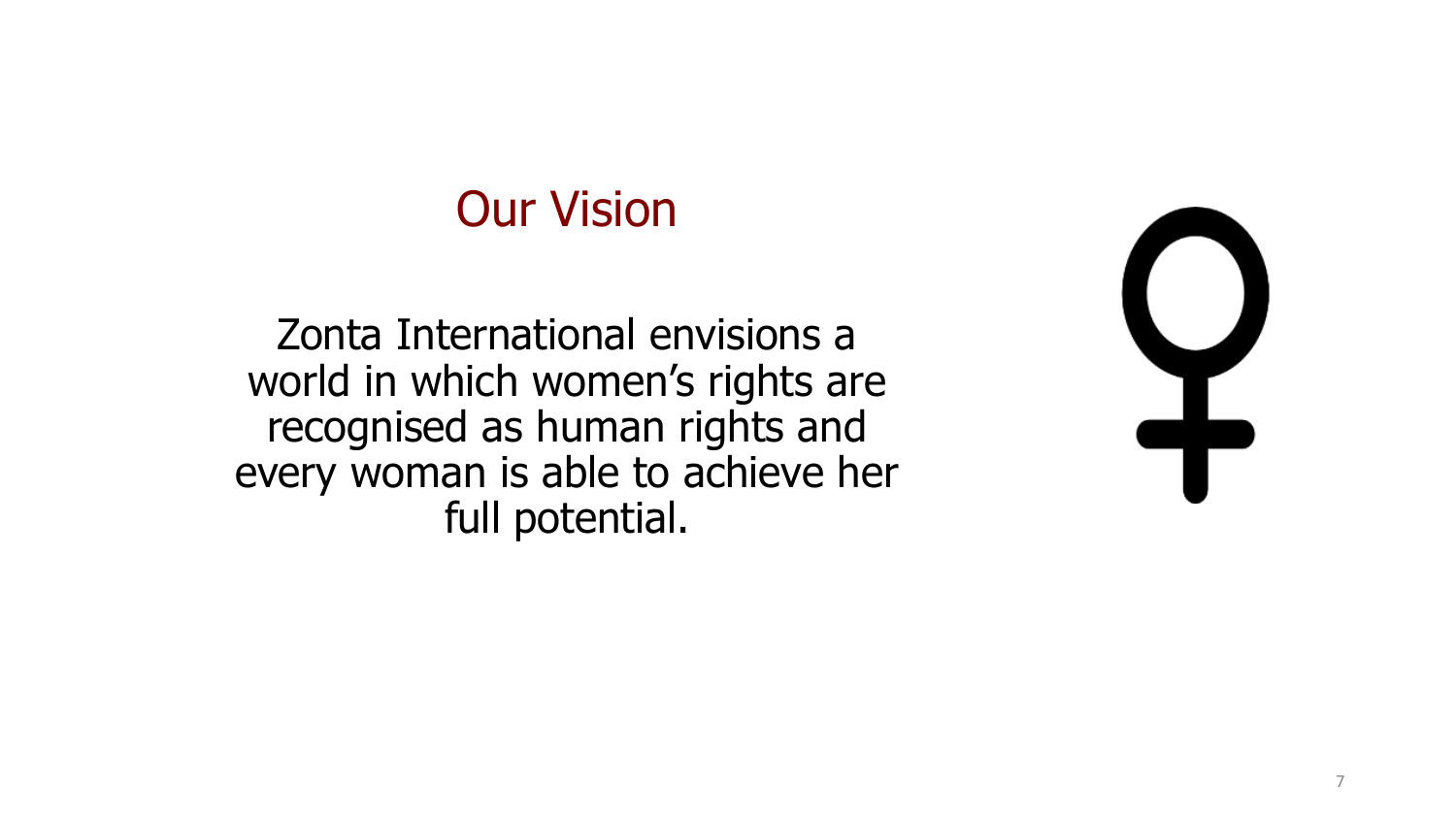## Our Vision

Zonta International envisions a world in which women's rights are recognised as human rights and every woman is able to achieve her full potential.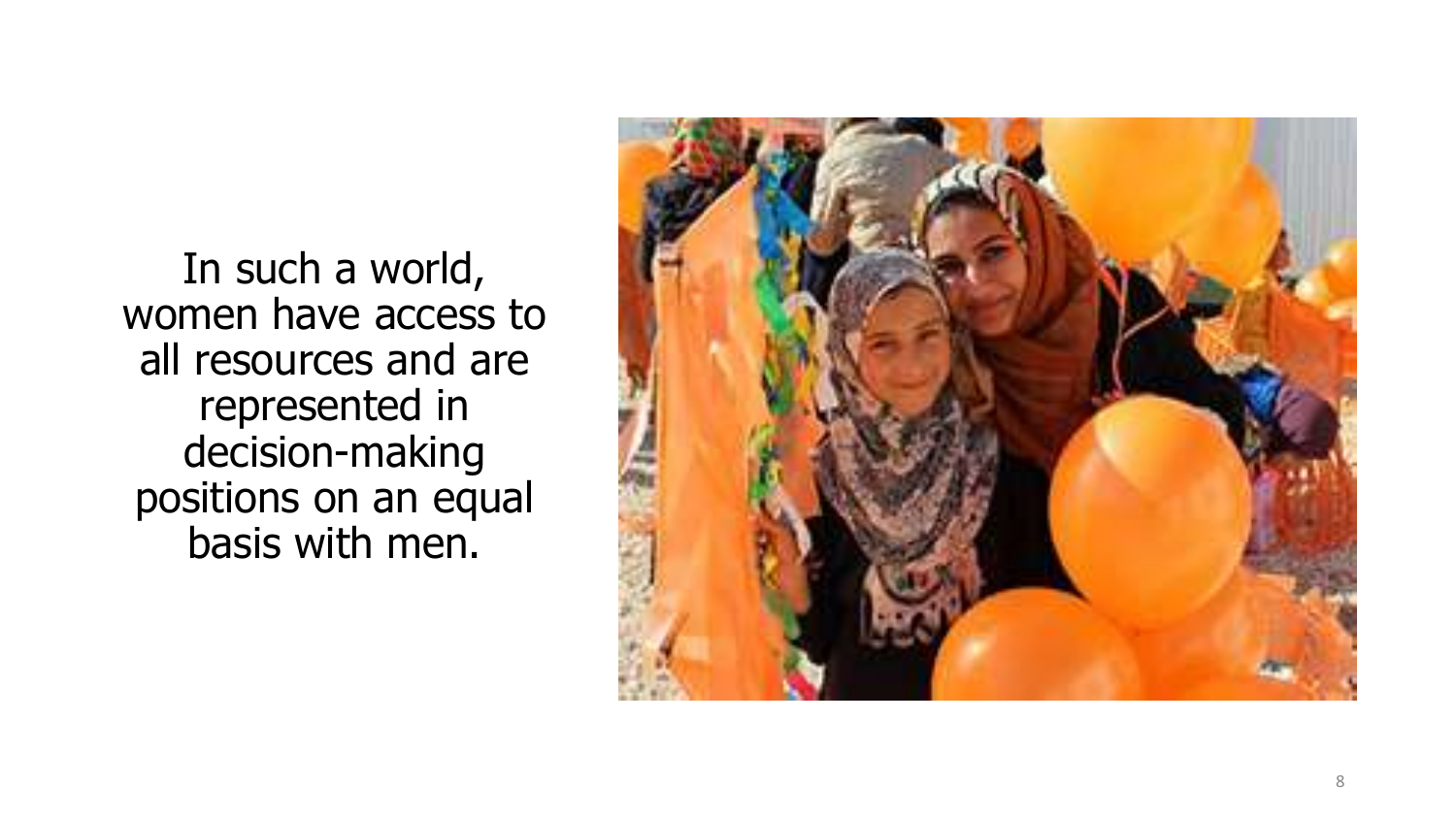In such a world, women have access to all resources and are represented in decision -making positions on an equal basis with men.

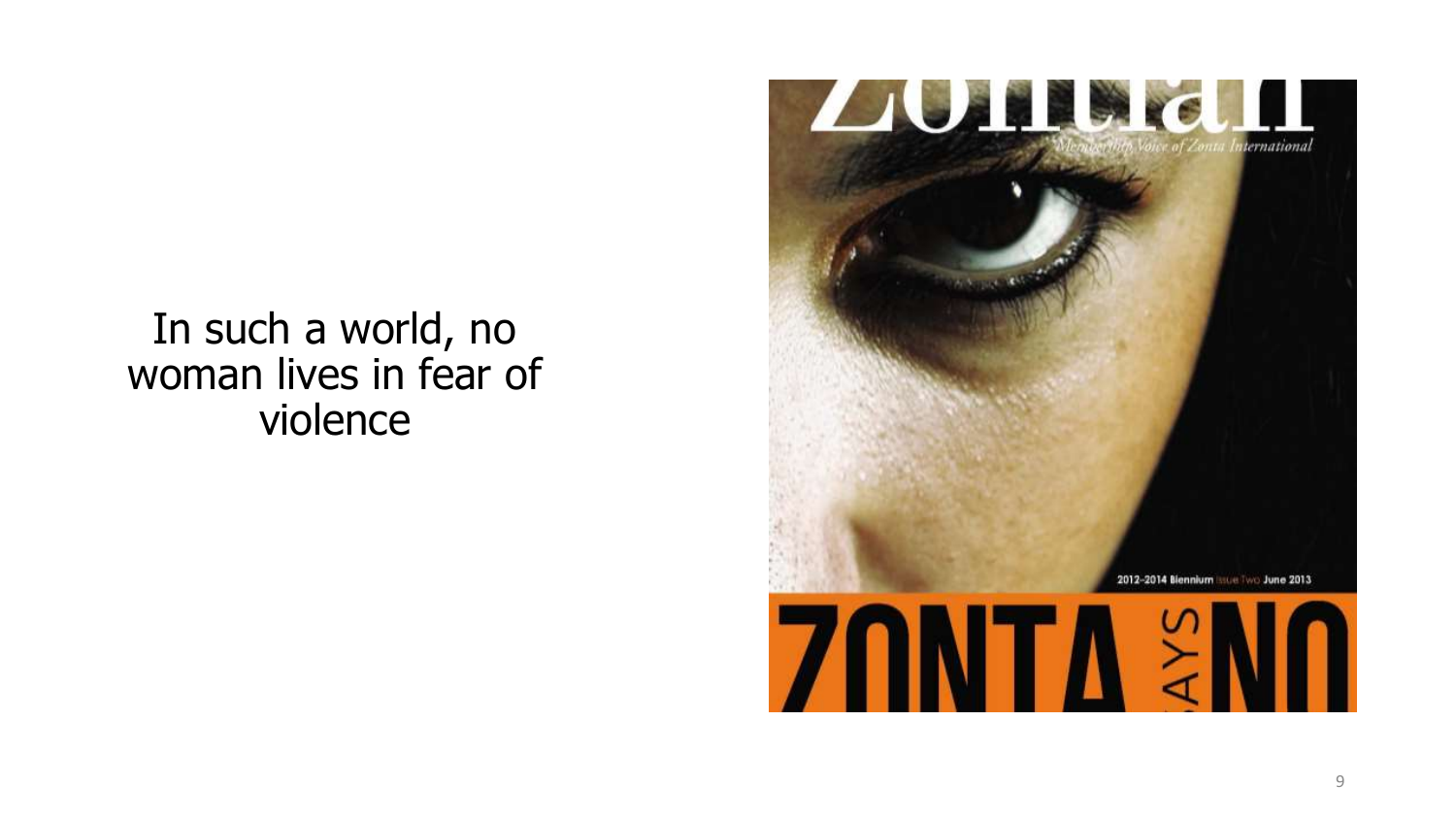In such a world, no woman lives in fear of violence

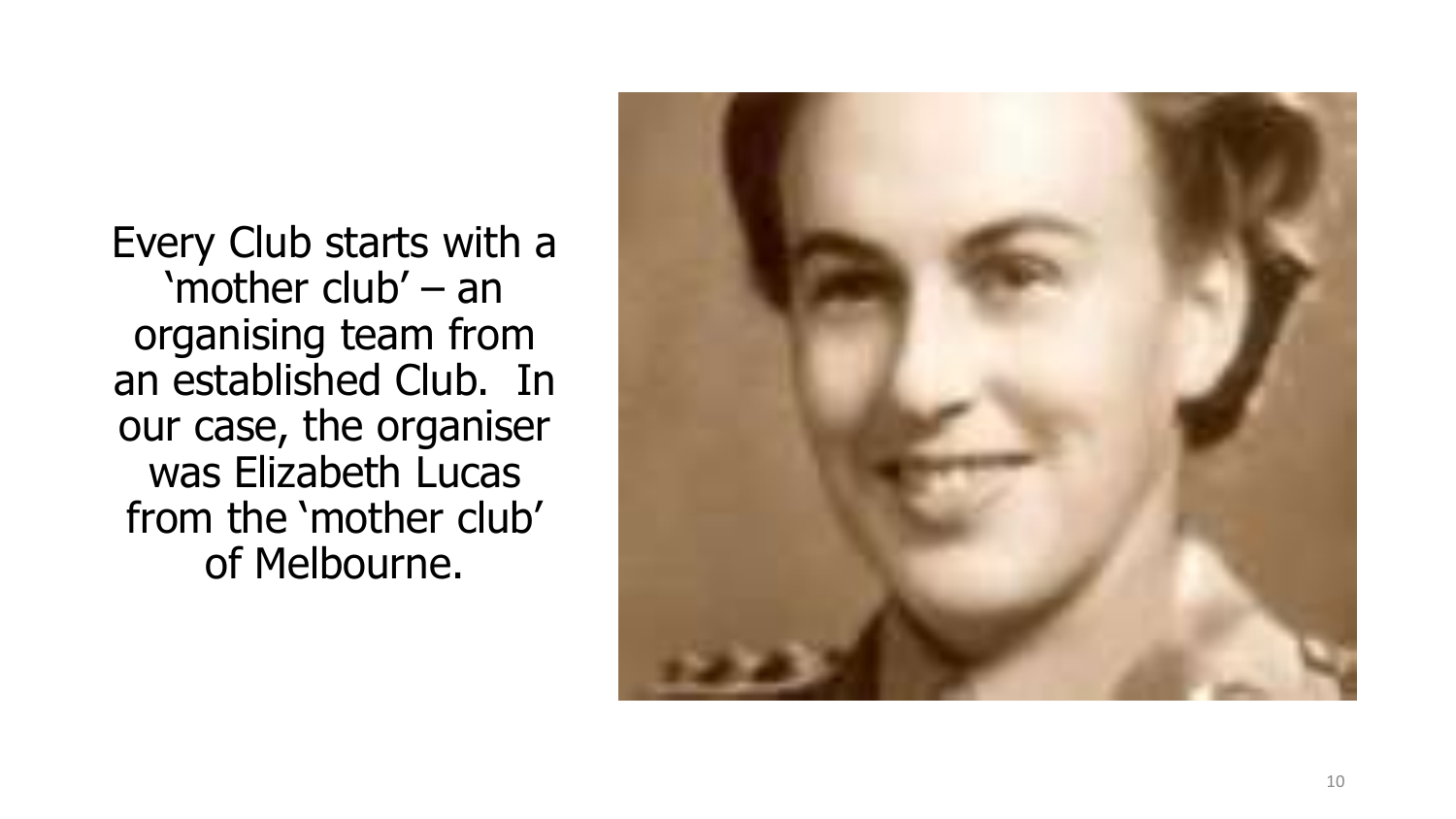Every Club starts with a 'mother club' – an organising team from an established Club. In our case, the organiser was Elizabeth Lucas from the 'mother club' of Melbourne.

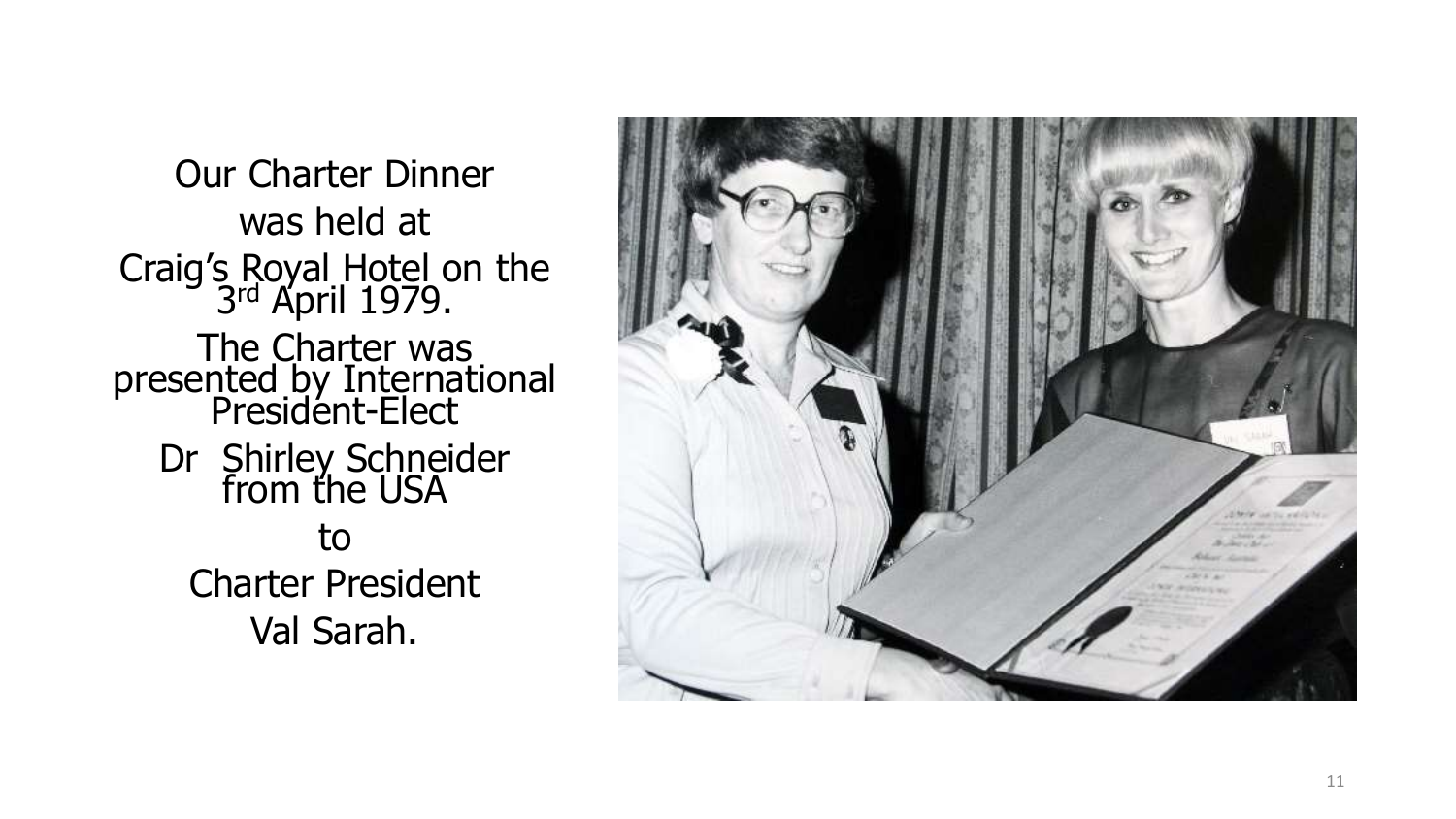Our Charter Dinner was held at Craig's Royal Hotel on the<br>3rd April 1979. The Charter was presented by International President-Elect Dr Shirley Schneider from the USA to Charter President Val Sarah.

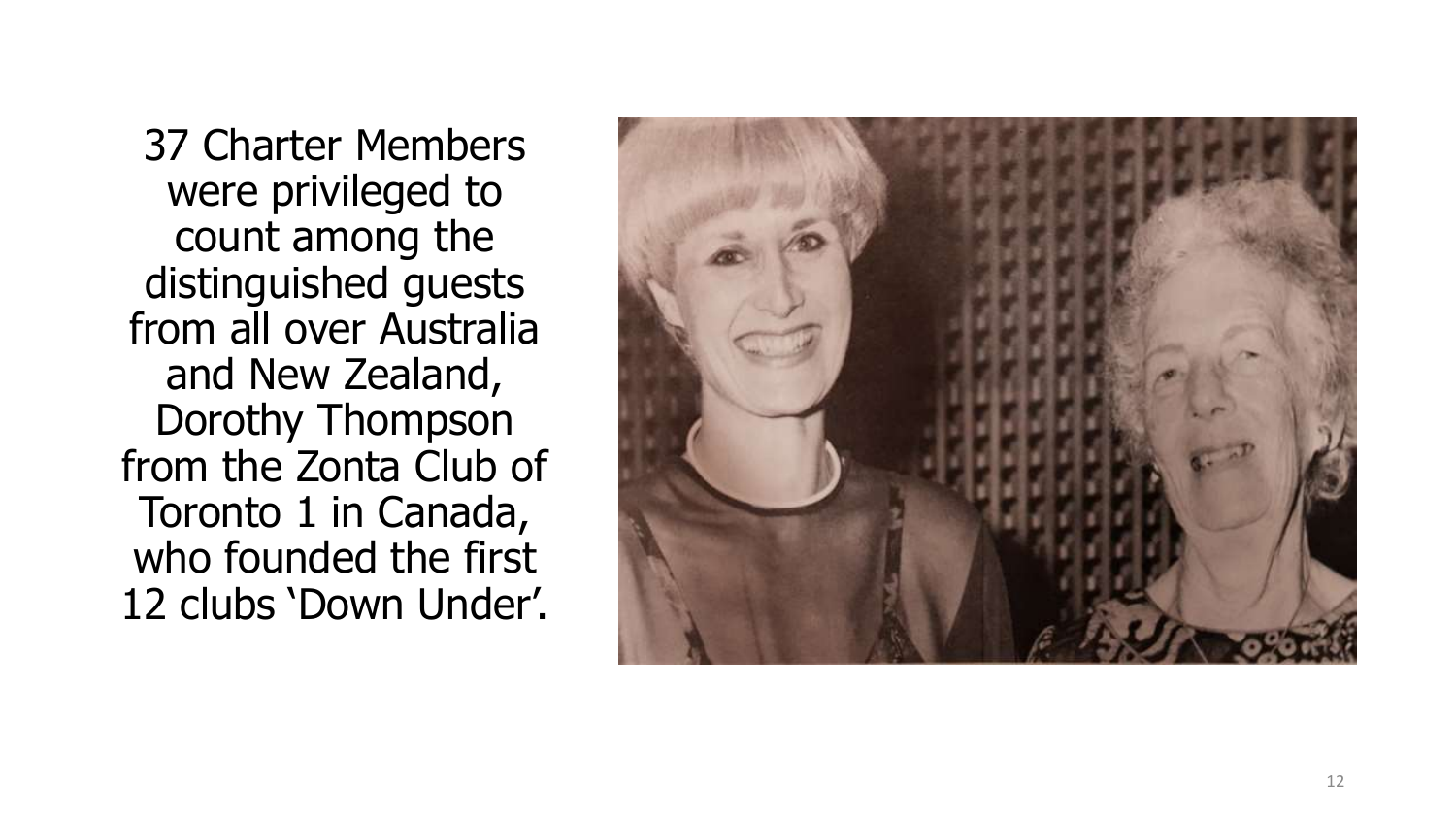37 Charter Members were privileged to count among the distinguished guests from all over Australia and New Zealand, Dorothy Thompson from the Zonta Club of Toronto 1 in Canada, who founded the first 12 clubs 'Down Under'.

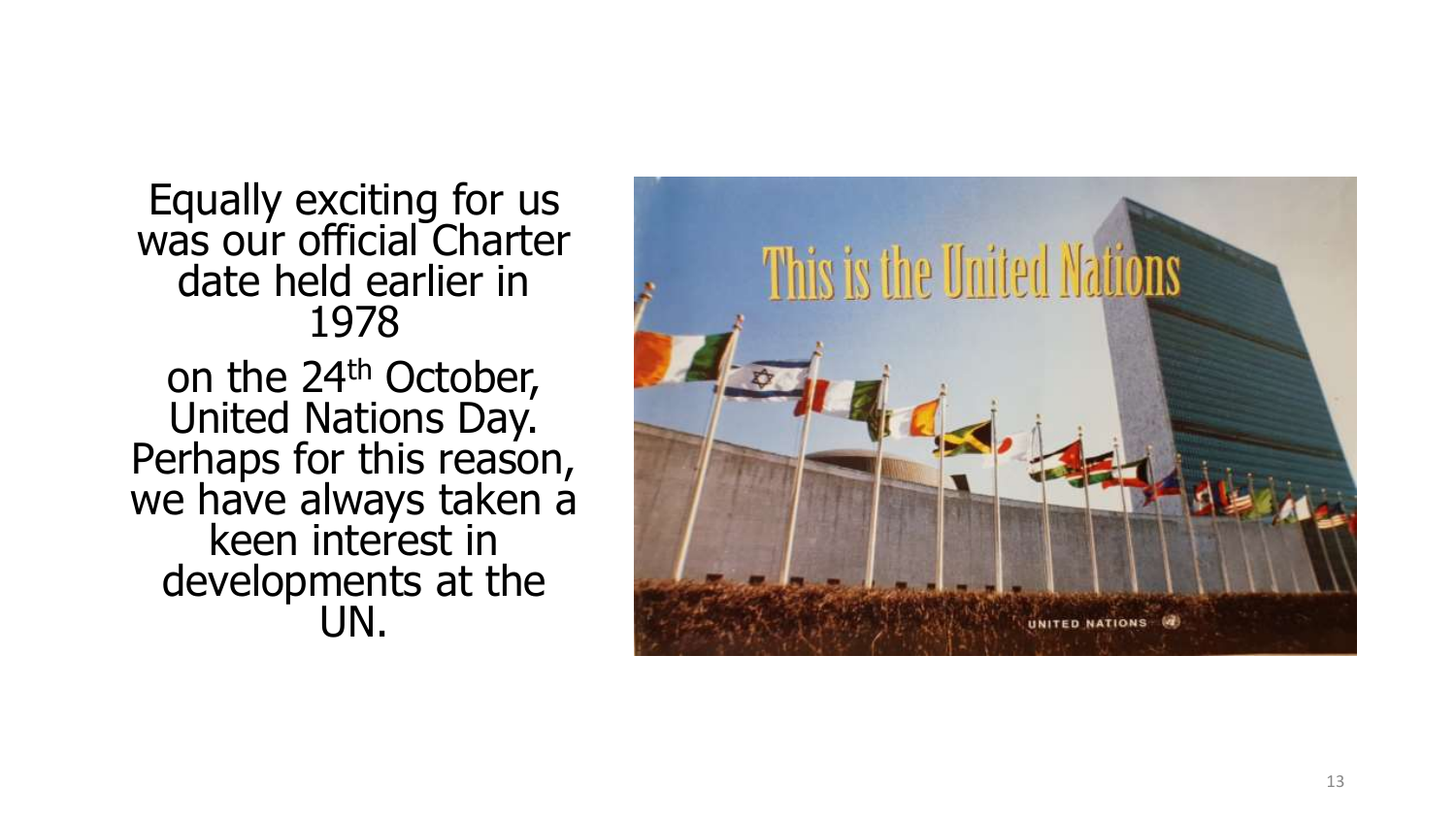Equally exciting for us was our official Charter date held earlier in 1978 on the 24<sup>th</sup> October,

United Nations Day. Perhaps for this reason, we have always taken a keen interest in developments at the UN.

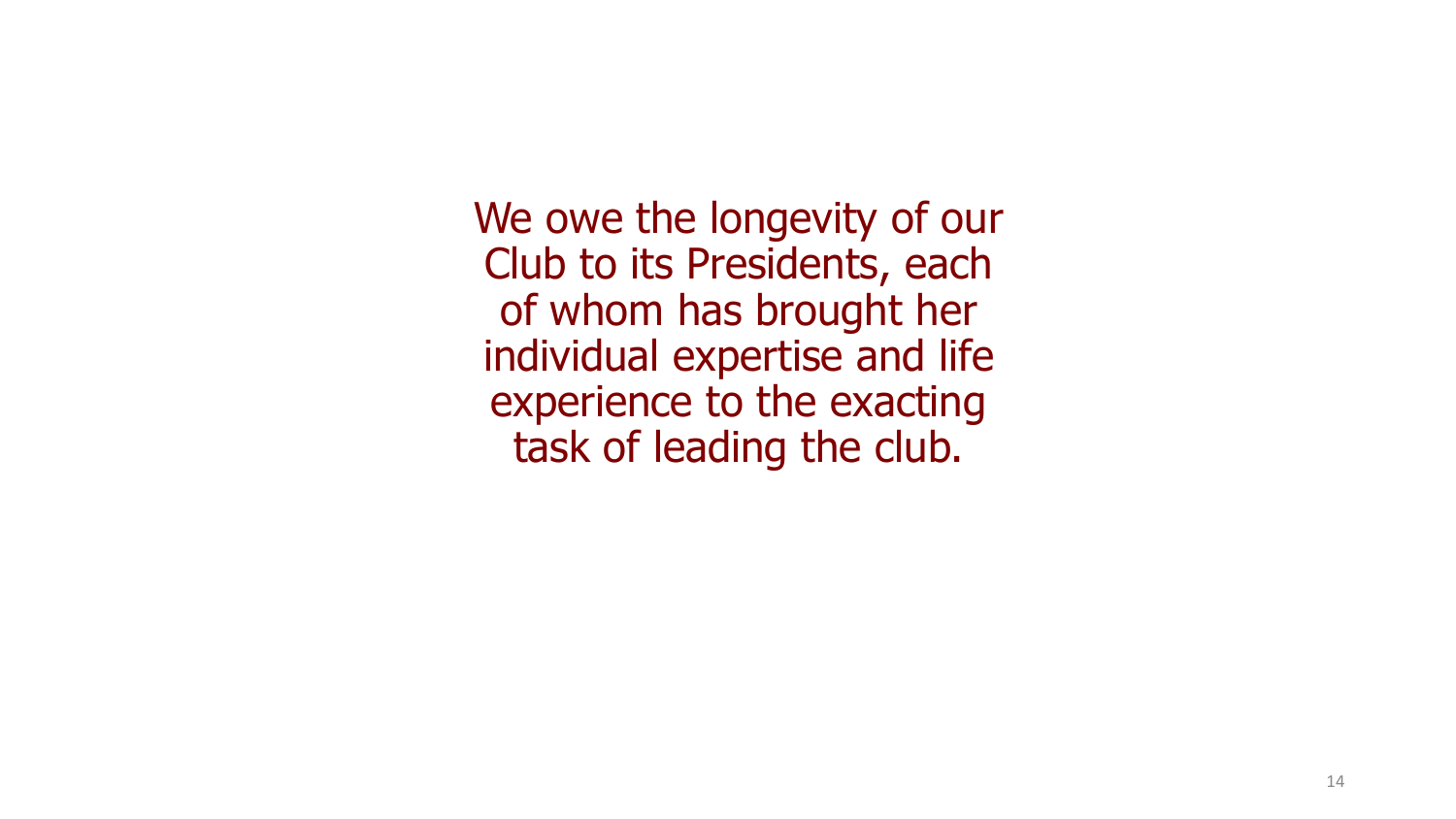We owe the longevity of our Club to its Presidents, each of whom has brought her individual expertise and life experience to the exacting task of leading the club.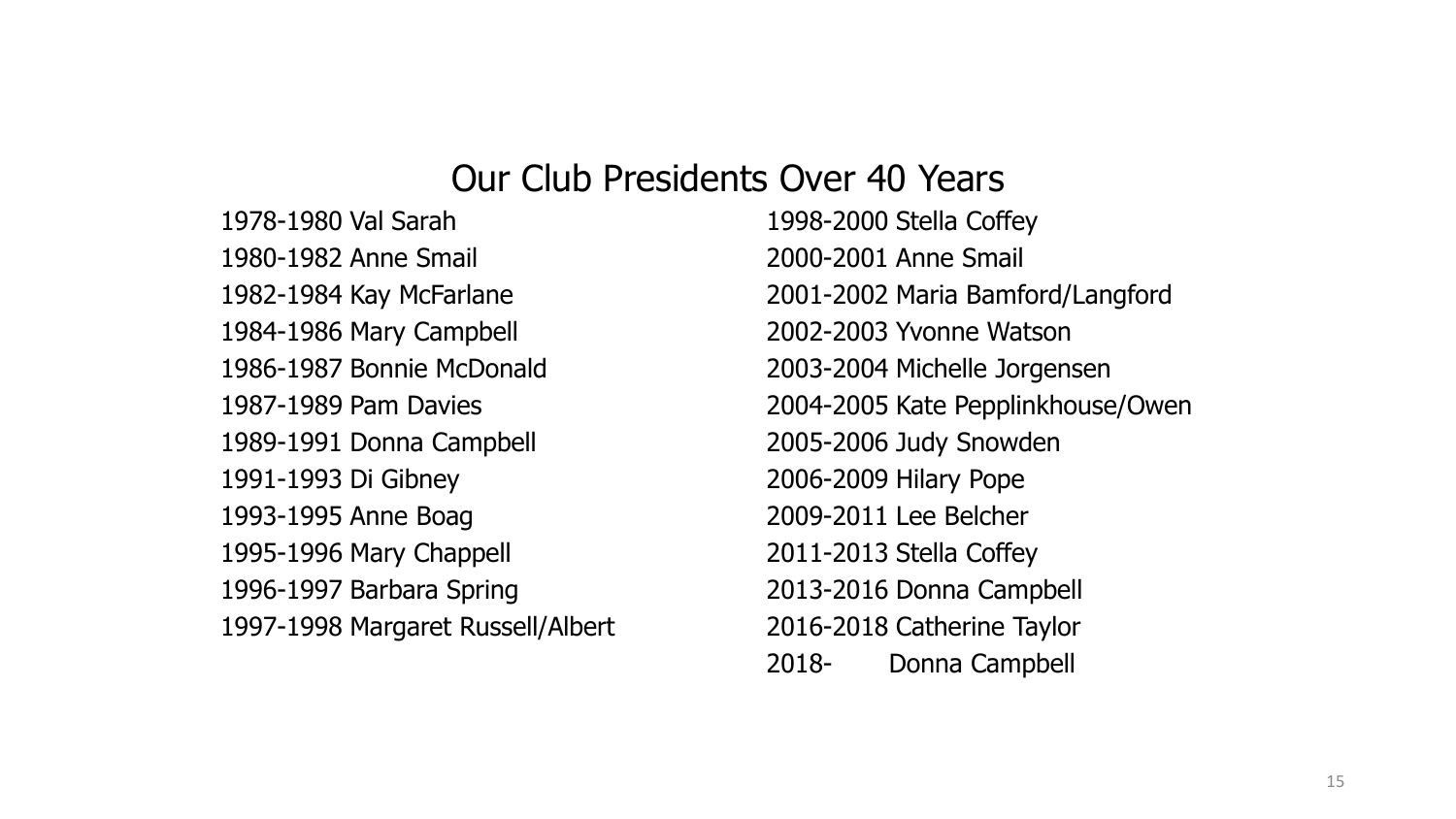#### Our Club Presidents Over 40 Years

1978-1980 Val Sarah 1998-2000 Stella Coffey 1980-1982 Anne Smail 2000-2001 Anne Smail 1984-1986 Mary Campbell 2002-2003 Yvonne Watson 1986-1987 Bonnie McDonald 2003-2004 Michelle Jorgensen 1989-1991 Donna Campbell 2005-2006 Judy Snowden 1991-1993 Di Gibney 2006-2009 Hilary Pope 1993-1995 Anne Boag 2009-2011 Lee Belcher 1995-1996 Mary Chappell 2011-2013 Stella Coffey 1996-1997 Barbara Spring 2013-2016 Donna Campbell 1997-1998 Margaret Russell/Albert 2016-2018 Catherine Taylor

1982-1984 Kay McFarlane 2001-2002 Maria Bamford/Langford 1987-1989 Pam Davies 2004-2005 Kate Pepplinkhouse/Owen 2018- Donna Campbell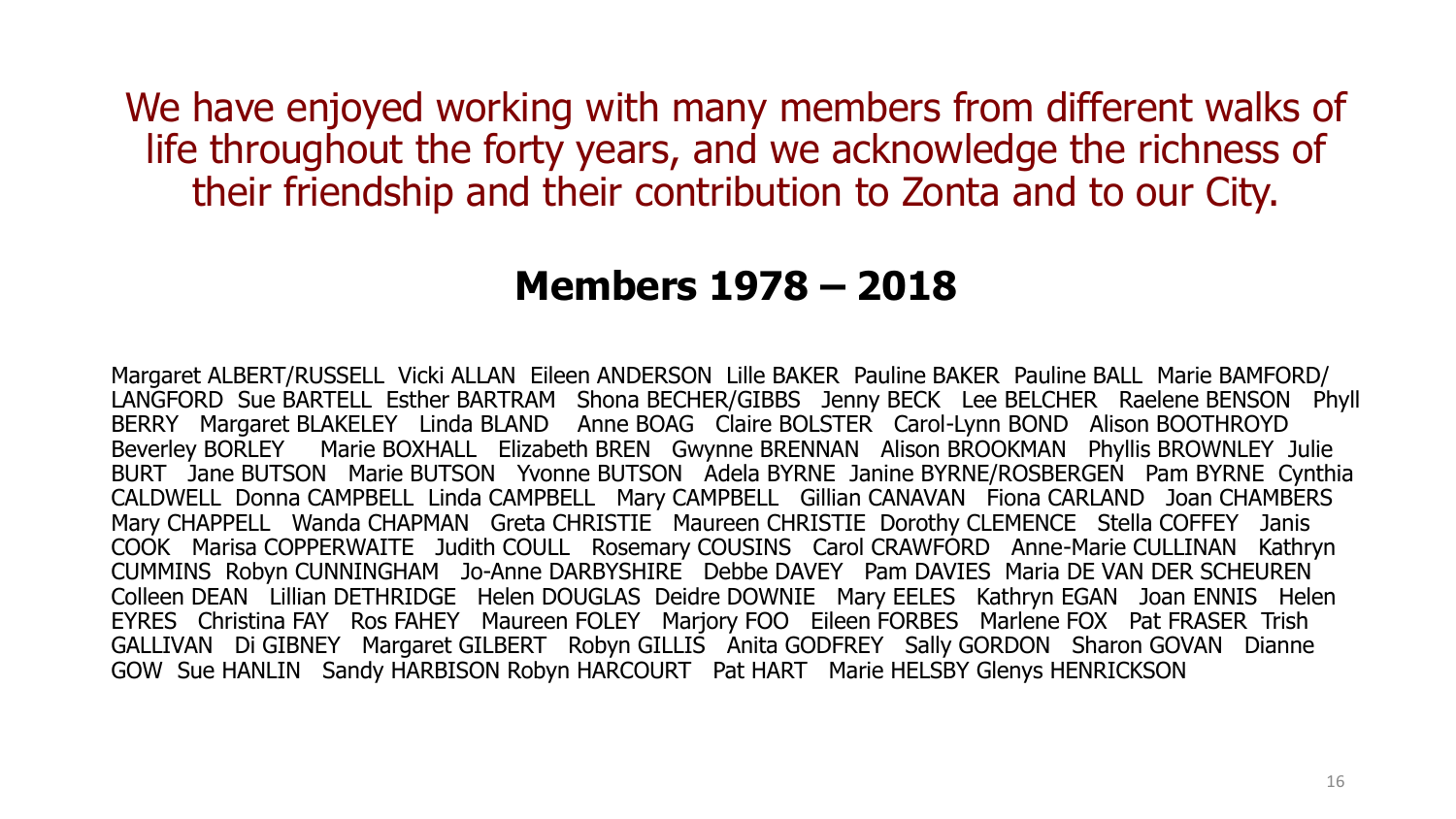We have enjoyed working with many members from different walks of life throughout the forty years, and we acknowledge the richness of their friendship and their contribution to Zonta and to our City.

### **Members 1978 – 2018**

Margaret ALBERT/RUSSELL Vicki ALLAN Eileen ANDERSON Lille BAKER Pauline BAKER Pauline BALL Marie BAMFORD/ LANGFORD Sue BARTELL Esther BARTRAM Shona BECHER/GIBBS Jenny BECK Lee BELCHER Raelene BENSON Phyll BERRY Margaret BLAKELEY Linda BLAND Anne BOAG Claire BOLSTER Carol-Lynn BOND Alison BOOTHROYD Beverley BORLEY Marie BOXHALL Elizabeth BREN Gwynne BRENNAN Alison BROOKMAN Phyllis BROWNLEY Julie BURT Jane BUTSON Marie BUTSON Yvonne BUTSON Adela BYRNE Janine BYRNE/ROSBERGEN Pam BYRNE Cynthia CALDWELL Donna CAMPBELL Linda CAMPBELL Mary CAMPBELL Gillian CANAVAN Fiona CARLAND Joan CHAMBERS Mary CHAPPELL Wanda CHAPMAN Greta CHRISTIE Maureen CHRISTIE Dorothy CLEMENCE Stella COFFEY Janis COOK Marisa COPPERWAITE Judith COULL Rosemary COUSINS Carol CRAWFORD Anne-Marie CULLINAN Kathryn CUMMINS Robyn CUNNINGHAM Jo-Anne DARBYSHIRE Debbe DAVEY Pam DAVIES Maria DE VAN DER SCHEUREN Colleen DEAN Lillian DETHRIDGE Helen DOUGLAS Deidre DOWNIE Mary EELES Kathryn EGAN Joan ENNIS Helen EYRES Christina FAY Ros FAHEY Maureen FOLEY Marjory FOO Eileen FORBES Marlene FOX Pat FRASER Trish GALLIVAN Di GIBNEY Margaret GILBERT Robyn GILLIS Anita GODFREY Sally GORDON Sharon GOVAN Dianne GOW Sue HANLIN Sandy HARBISON Robyn HARCOURT Pat HART Marie HELSBY Glenys HENRICKSON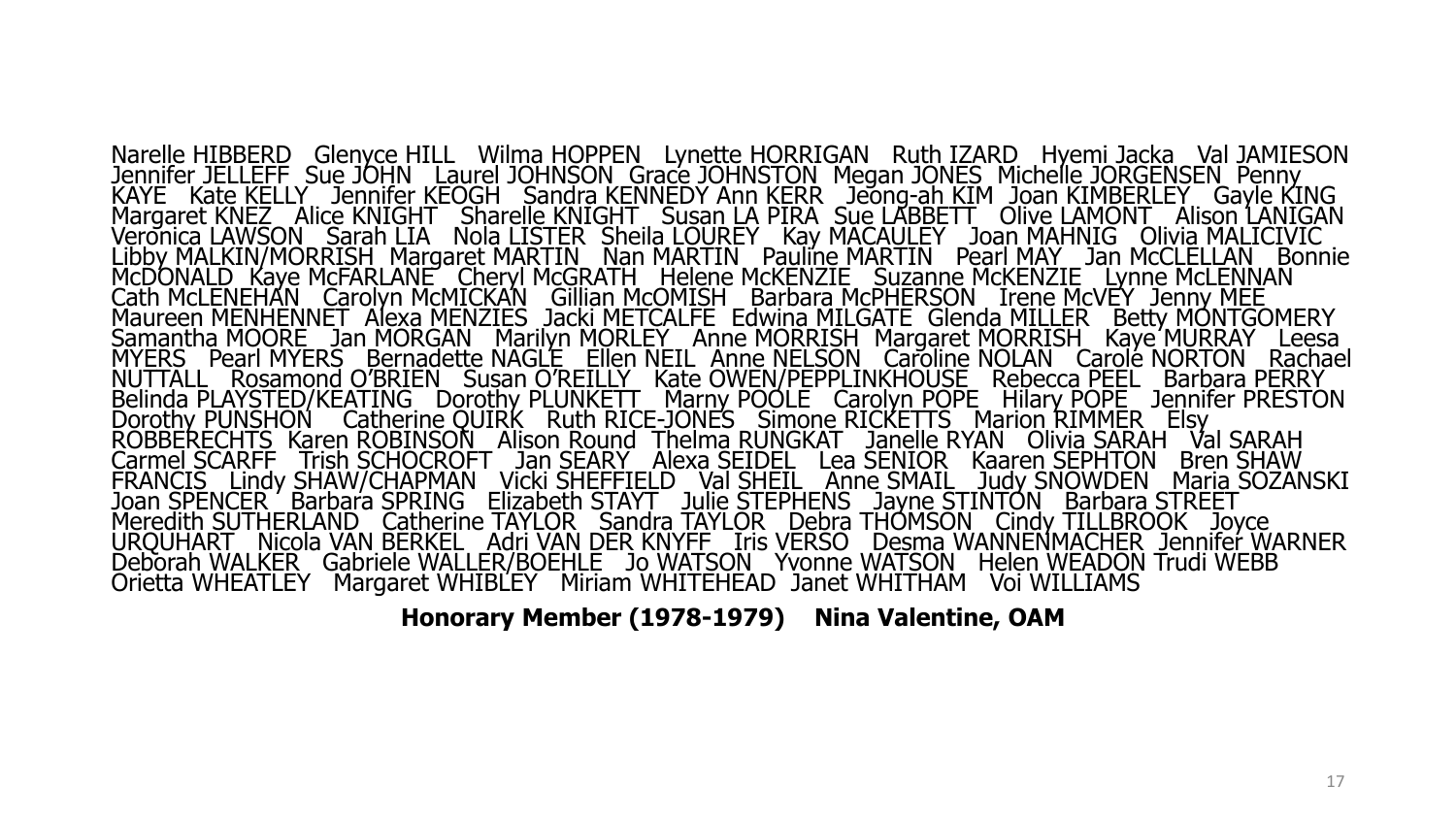Narelle HIBBERD Glenyce HILL Wilma HOPPEN Lynette HORRIGAN Ruth IZARD Hyemi Jacka Val JAMIESON Jennifer JELLEFF Sue JOHN Laurel JOHNSON Grace JOHNSTON Megan JONES Michelle JORGENSEN Penny KAYE Kate KELLY Jennifer KEOGH Sandra KENNEDY Ann KERR Jeong-ah KIM Joan KIMBERLEY Gayle KING Margaret KNEZ Alice KNIGHT Sharelle KNIGHT Susan LA PIRA Sue LABBETT Olive LAMONT Alison LANIGAN Veronica LAWSON Sarah LIA Nola LISTER Sheila LOUREY Kay MACAULEY Joan MAHNIG Olivia MALICIVIC Libby MALKIN/MORRISH Margaret MARTIN Nan MARTIN Pauline MARTIN Pearl MAY Jan McCLELLAN Bonnie McDONALD Kaye McFARLANE Cheryl McGRATH Helene McKENZIE Suzanne McKENZIE Lynne McLENNAN Cath McLENEHAN Carolyn Mc<u>MICKAN</u> Gillian McOMISH Barbara McPHERSON Irene McVEY Jenny MEE Maureen MENHENNET Alexa MENZIES Jacki METCALFE Edwina MILGATE Glenda MILLER Betty MONTGOMERY Samantha MOORE Jan MORGAN Marilyn MORLEY Anne MORRISH Margaret MORRISH Kaye MURRAY Leesa MYERS Pearl MYERS Bernadette NAGLE Ellen NEIL Anne NELSON Caroline NOLAN Carole NORTON Rachael NUTTALL Rosamond O'BRIEN Susan O'REILLY Kate OWEN/PEPPLINKHOUSE Rebecca PEEL Barbara PERRY Belinda PLAYSTED/KEATING Dorothy PLUNKETT Marny POOLE Carolyn POPE Hilary POPE Jennifer PRESTON Dorothy PUNSHON Catherine QUIRK Ruth RICE-JONES Simone RICKETTS Marion RIMMER Elsy ROBBERECHTS Karen ROBINSON Alison Round Thelma RUNGKAT Janelle RYAN Olivia SARAH Val SARAH Carmel SCARFF Trish SCHOCROFT Jan SEARY Alexa SEIDEL Lea SENIOR Kaaren SEPHTON Bren SHAW FRANCIS Lindy SHAW/CHAPMAN \_Vicki SHEFFIELD \_ Val SHEIL \_ Anne SMAIL \_ Judy SNOWDEN \_ Maria SOZANSKI Joan SPENCER ' Barbara SPRING Elizabeth STAYT Julie STEPHENS Jayne STINTON Barbara STREET Meredith SUTHERLAND Catherine TAYLOR Sandra TAYLOR Debra THOMSON Cindy TILLBROOK Joyce URQUHART Nicola VAN BERKEL Adri VAN DER KNYFF Iris VERSO Desma WANNENMACHER Jennifer WARNER Deborah WALKER Gabriele WALLER/BOEHLE Jo WATSON Yvonne WATSON Helen WEADON Trudi WEBB Orietta WHEATLEY Margaret WHIBLEY Miriam WHITEHEAD Janet WHITHAM Voi WILLIAMS

**Honorary Member (1978-1979) Nina Valentine, OAM**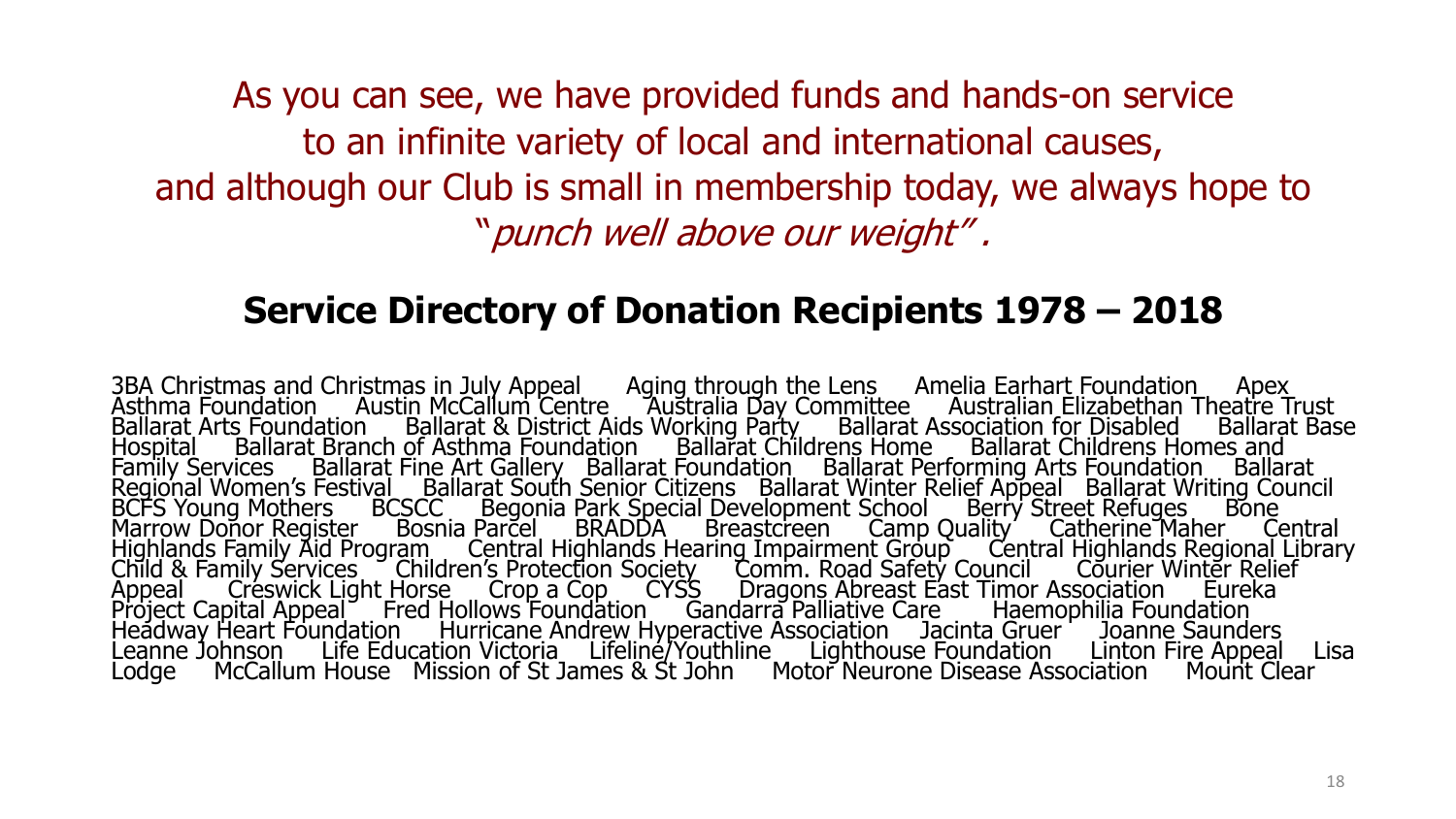As you can see, we have provided funds and hands-on service to an infinite variety of local and international causes, and although our Club is small in membership today, we always hope to "punch well above our weight" .

#### **Service Directory of Donation Recipients 1978 – 2018**

3BA Christmas and Christmas in July Appeal and Aging through the Lens Amelia Earhart Foundation Apex Asthma Foundation Austin McCallum Centre Australia Day Committee Australian Elizabethan Theatre Trust Ballarat Arts Foundation Ballarat & District Aids Working Party Ballarat Association for Disabled Ballarat Base Hospital Ballarat Branch of Asthma Foundation Ballarat Childrens Home Ballarat Childrens Homes and Family Services Ballarat Fine Art Gallery Ballarat Foundation Ballarat Performing Arts Foundation Ballarat Regional Women's Festival Ballarat South Senior Citizens Ballarat Winter Relief Appeal Ballarat Writing Council BCFS Young Mothers BCSCC Begonia Park Special Development School Berry Street Refuges Bone Marrow Donor Register Bosnia Parcel BRADDA Breastcreen Camp Quality Catherine Maher Central Highlands Family Aid Program Central Highlands Hearing Impairment Group Central Highlands Regional Library Child & Family Services Children's Protection Society Comm. Road Safety Council Courier Winter Relief Appeal Creswick Light Horse Crop a Cop CYSS Dragons Abreast East Timor Association Eureka Project Capital Appeal Fred Hollows Foundation Gandarra Palliative Care Haemophilia Foundation Headway Heart Foundation Hurricane Andrew Hyperactive Association Jacinta Gruer Joanne Saunders Leanne Johnson Life Education Victoria Lifeline/Youthline Lighthouse Foundation Linton Fire Appeal Lisa Lodge McCallum House Mission of St James & St John Motor Neurone Disease Association Mount Clear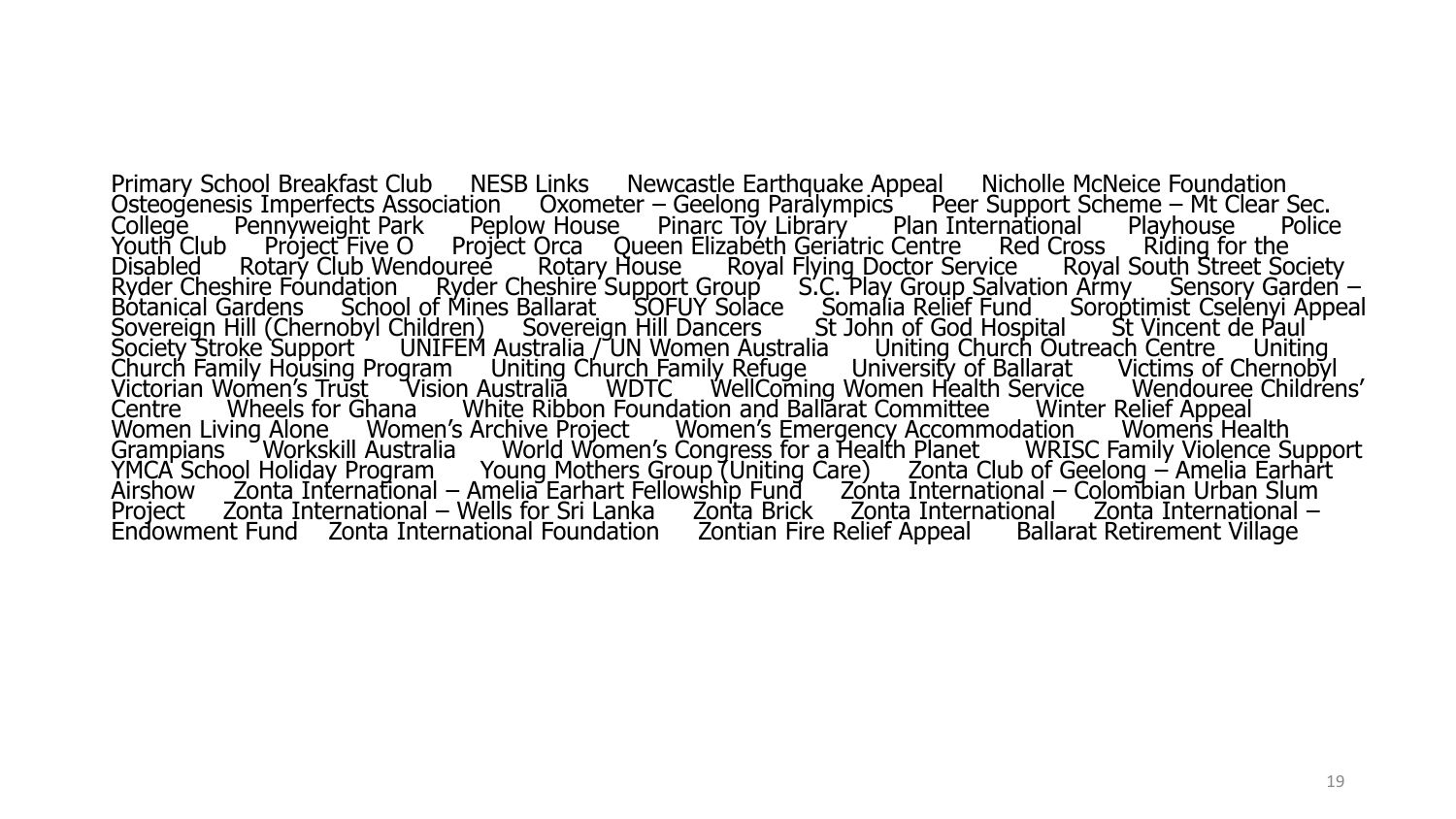Primary School Breakfast Club NESB Links Newcastle Earthquake Appeal Nicholle McNeice Foundation Osteogenesis Imperfects Association Oxometer – Geelong Paralympics Peer Support Scheme – Mt Clear Sec. College Pennyweight Park Peplow House Pinarc Toy Library Plan International Playhouse Police Youth Club Project Five O Project Orca Queen Elizabeth Geriatric Centre Red Cross Riding for the Disabled Rotary Club Wendouree Rotary House Royal Flying Doctor Service Royal South Street Society Ryder Cheshire Foundation Ryder Cheshire Support Group S.C. Play Group Salvation Army Sensory Garden – Botanical Gardens School of Mines Ballarat SOFUY Solace Somalia Relief Fund Soroptimist Cselenyi Appeal Sovereign Hill (Chernobyl Children) Sovereign Hill Dancers St John of God Hospital St Vincent de Paul Society Stroke Support ' UNIFEM Australia / UN Women Australia L. Uniting Church Outreach Centre L. Uniting Church Family Housing Program Uniting Church Family Refuge University of Ballarat Victims of Chernobyl Victorian Women's Trust TVision Australia WDTC WellComing Women Health Service Nendouree Childrens' Centre Wheels for Ghana White Ribbon Foundation and Ballarat Committee Winter Relief Appeal Women Living Alone ... Women's Archive Project ... Women's Emergency Accommodation ... Womens Health Grampians Morkskill Australia World Women's Congress for a Health Planet WRISC Family Violence Support YMCA School Holiday Program Young Mothers Group (Uniting Care) Zonta Club of Geelong – Amelia Earhart Airshow Zonta International – Amelia Earhart Fellowship Fund Zonta International – Colombian Urban Slum Project Zonta International – Wells for Sri Lanka Zonta Brick Zonta International Zonta International – Endowment Fund Zonta International Foundation Zontian Fire Relief Appeal Ballarat Retirement Village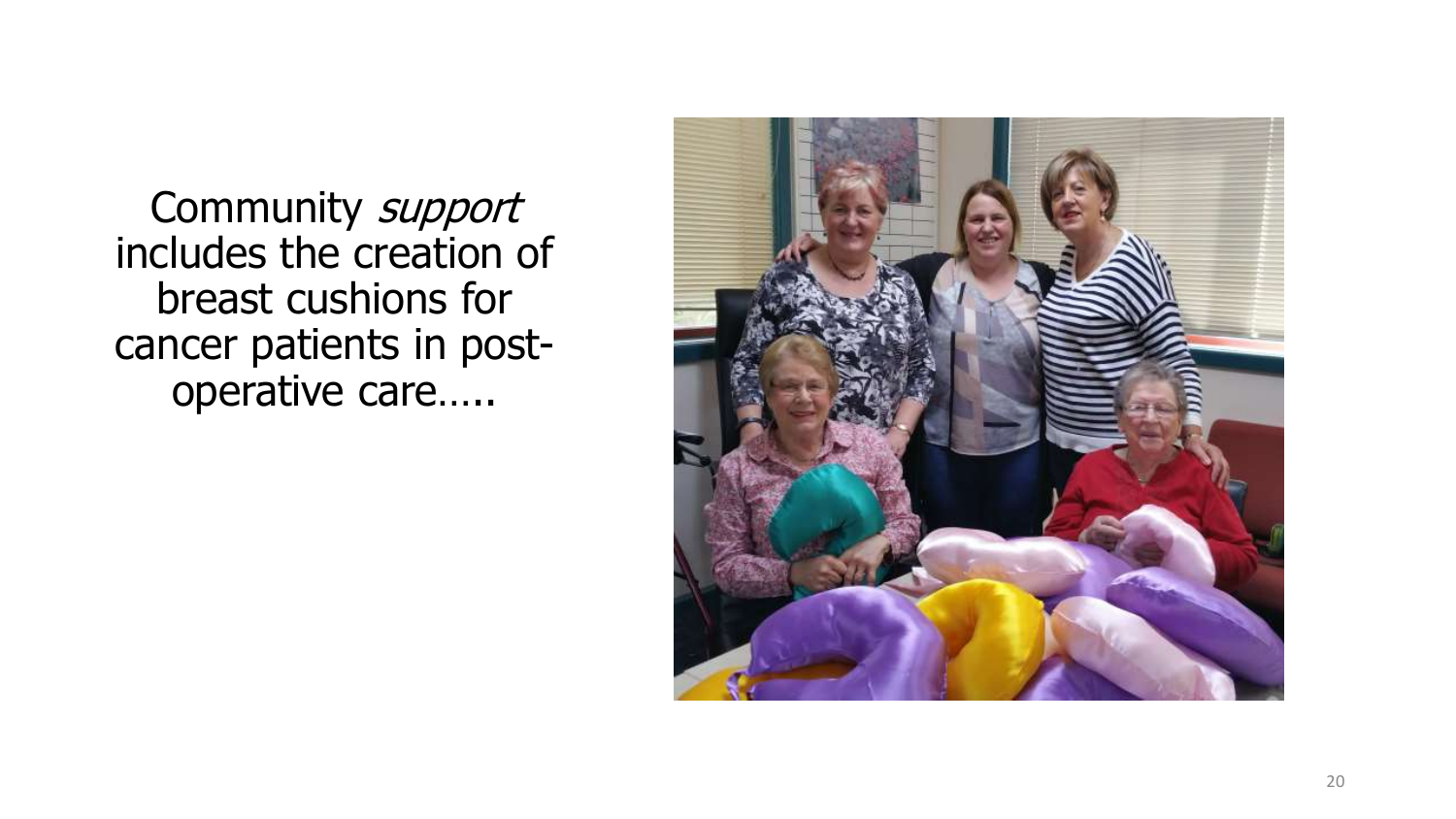Community support includes the creation of breast cushions for cancer patients in postoperative care…..

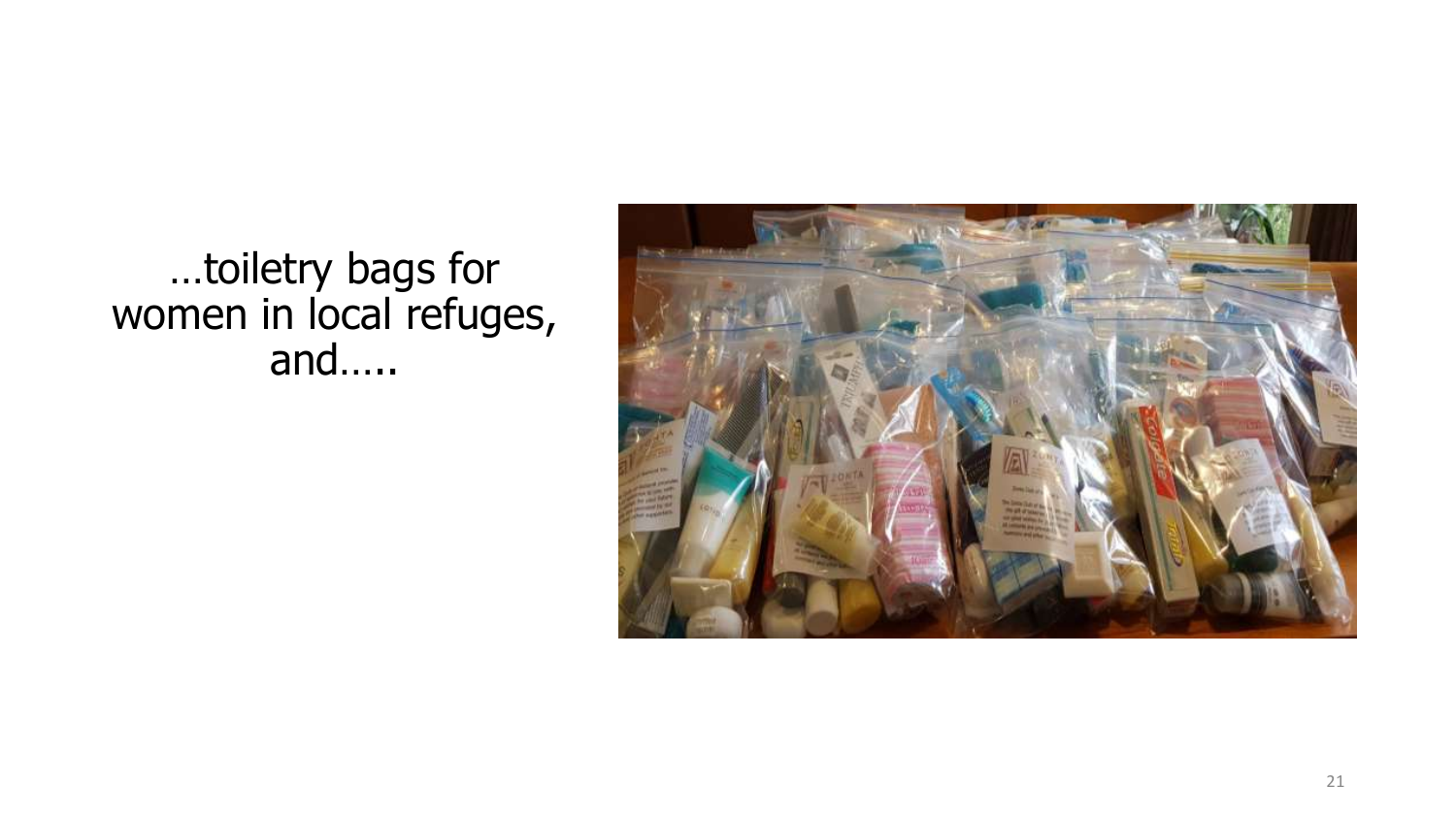

## …toiletry bags for women in local refuges, and…..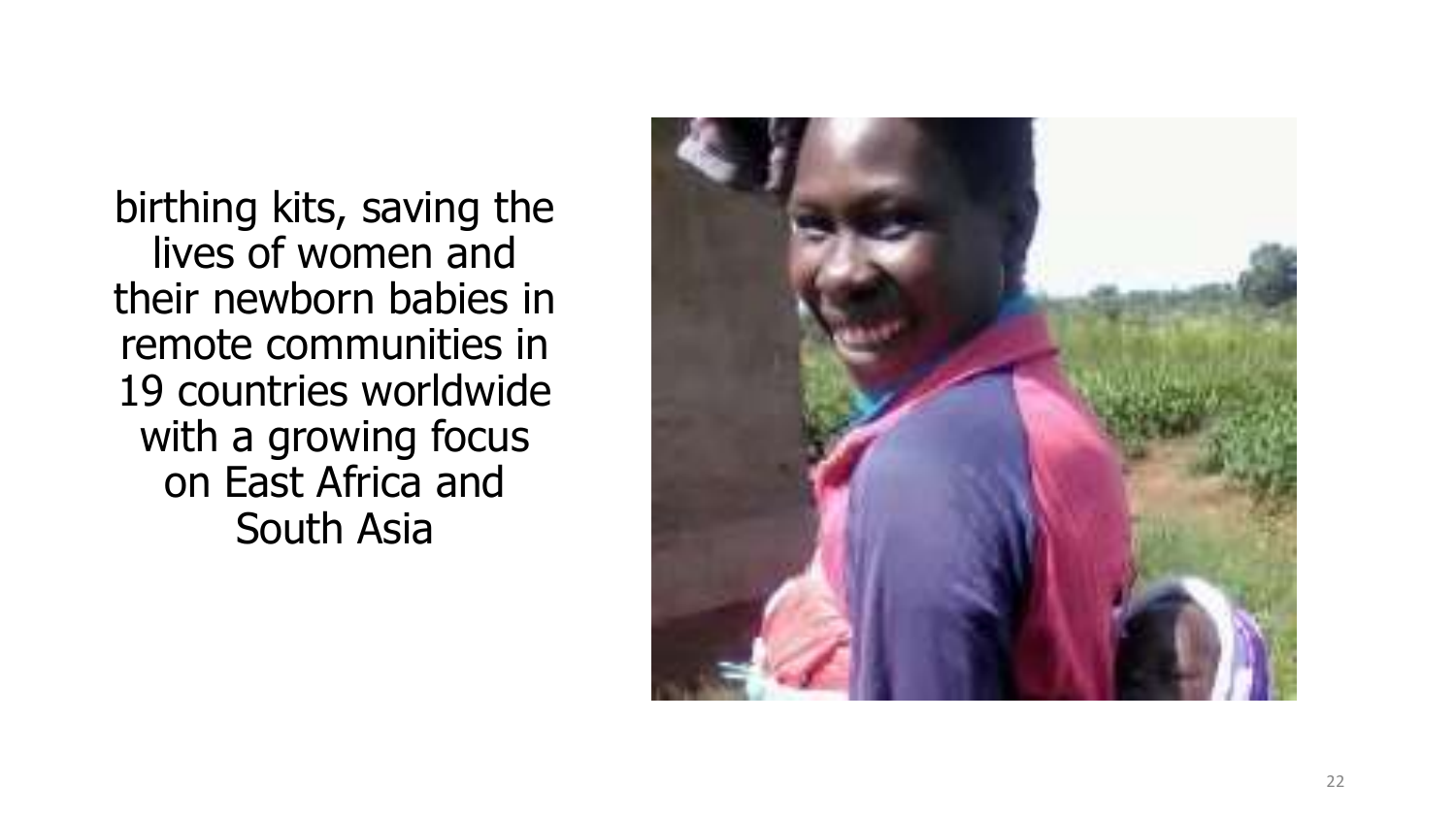birthing kits, saving the lives of women and their newborn babies in remote communities in 19 countries worldwide with a growing focus on East Africa and South Asia

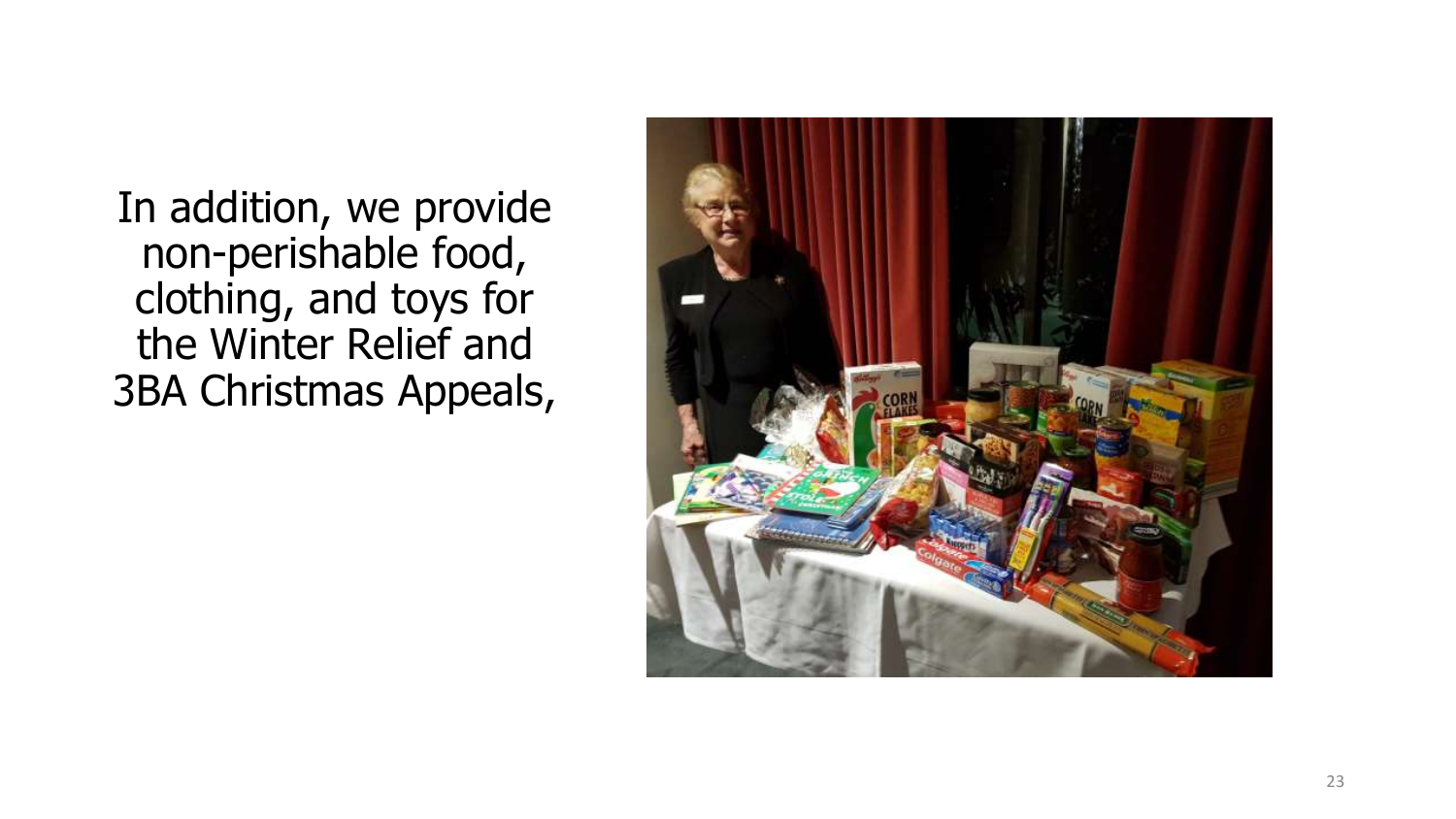In addition, we provide non-perishable food, clothing, and toys for the Winter Relief and 3BA Christmas Appeals,

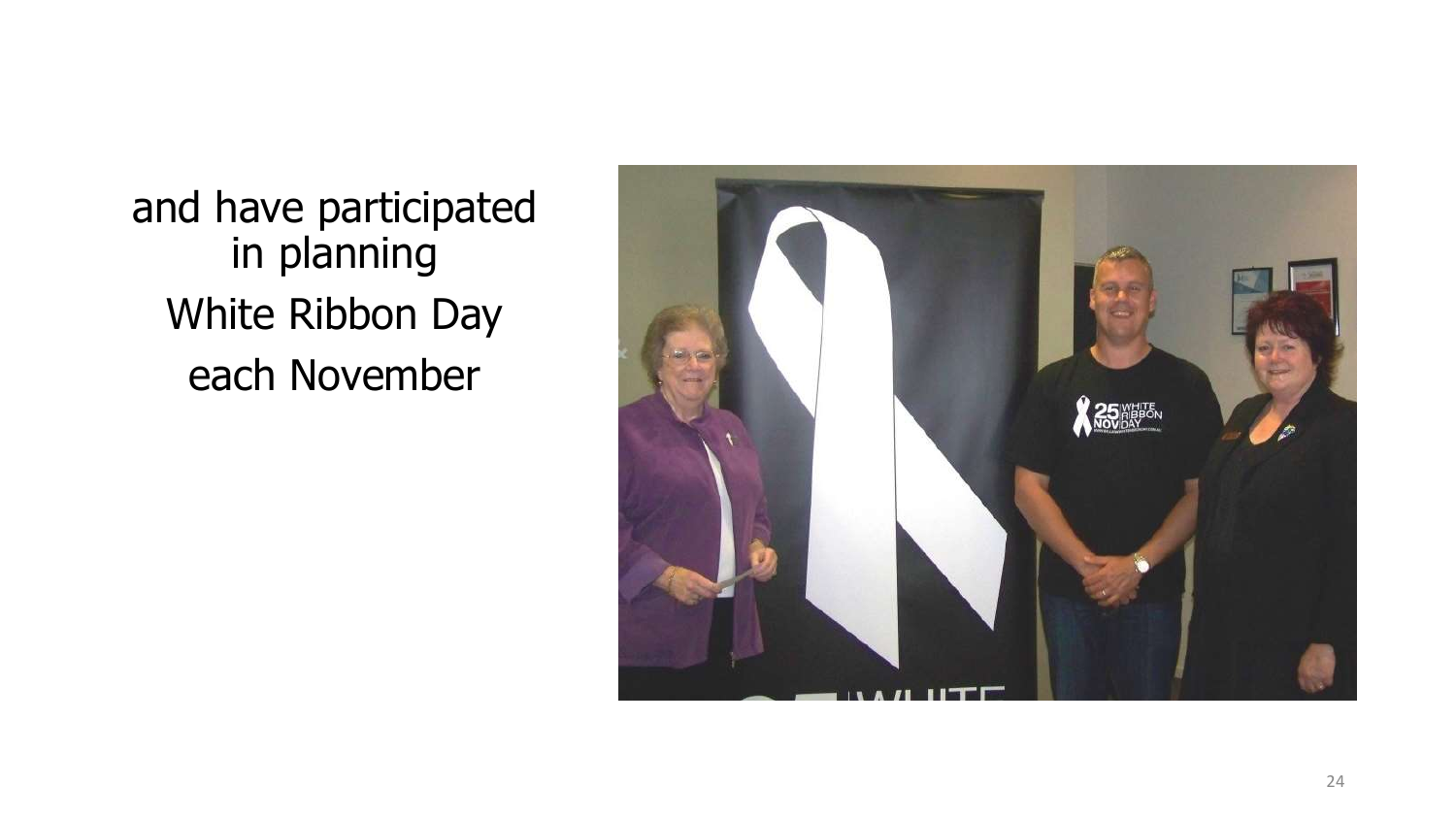and have participated in planning White Ribbon Day each November

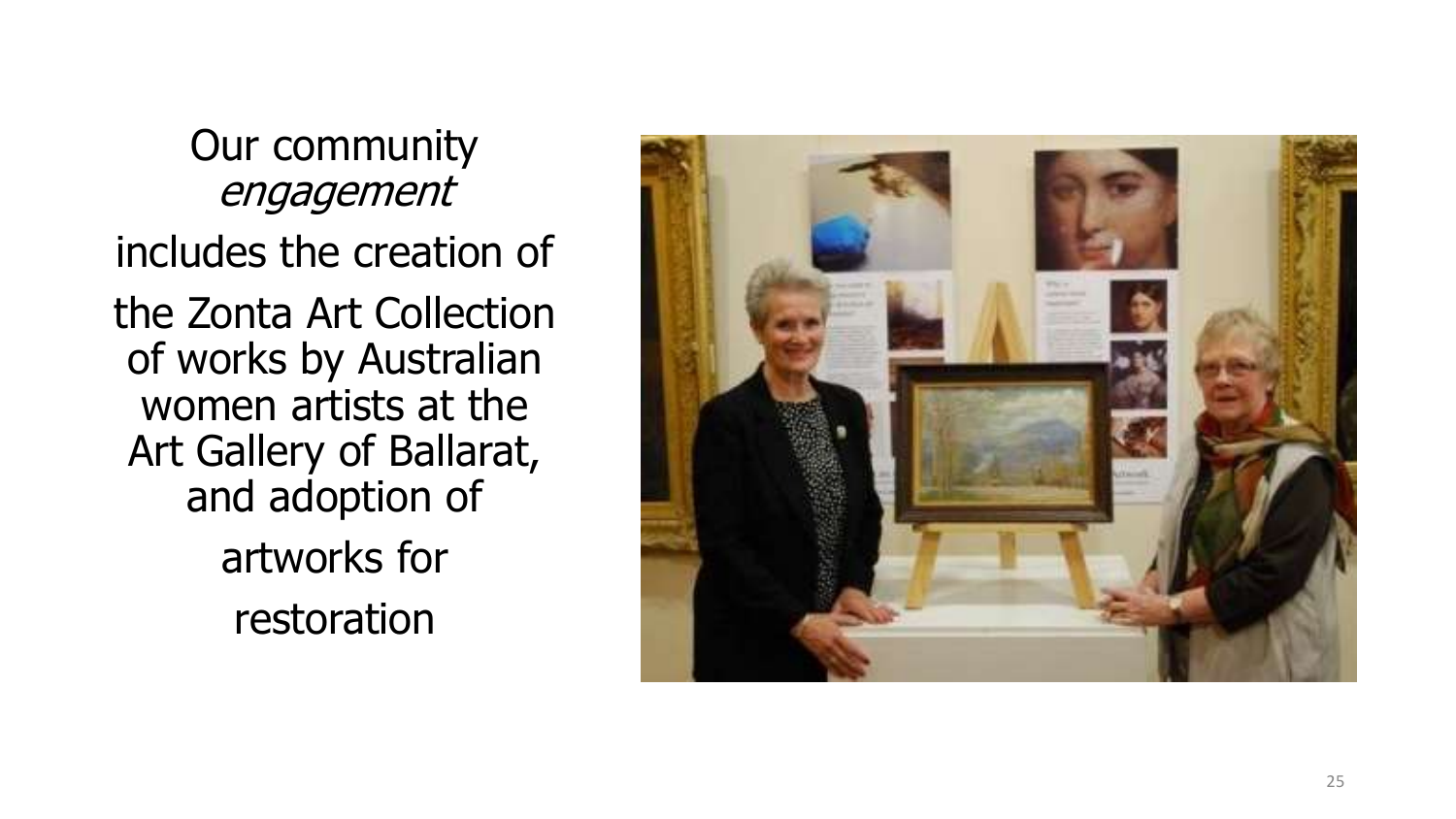Our community engagement includes the creation of the Zonta Art Collection of works by Australian women artists at the Art Gallery of Ballarat, and adoption of artworks for restoration

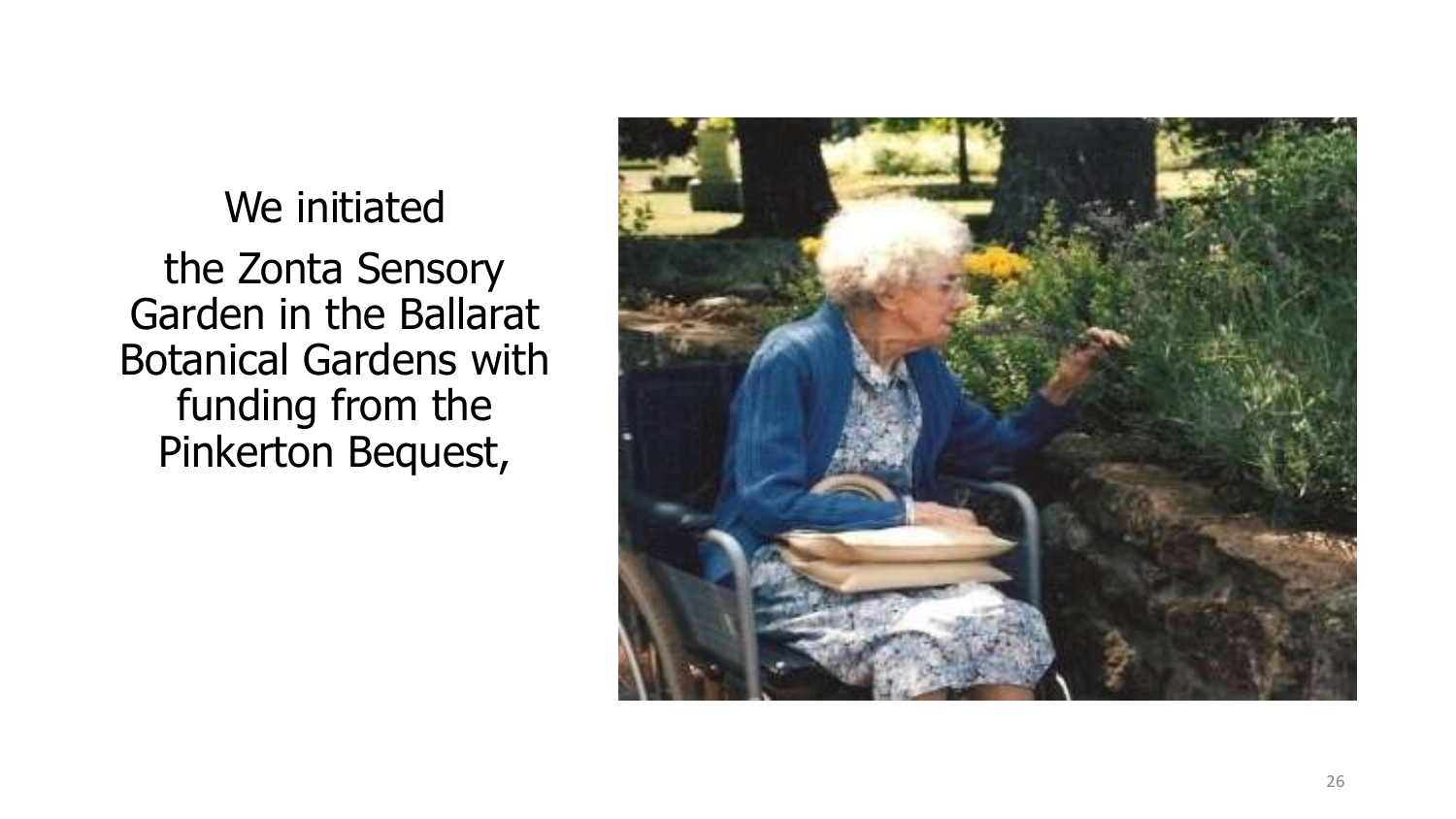We initiated the Zonta Sensory Garden in the Ballarat Botanical Gardens with funding from the Pinkerton Bequest,

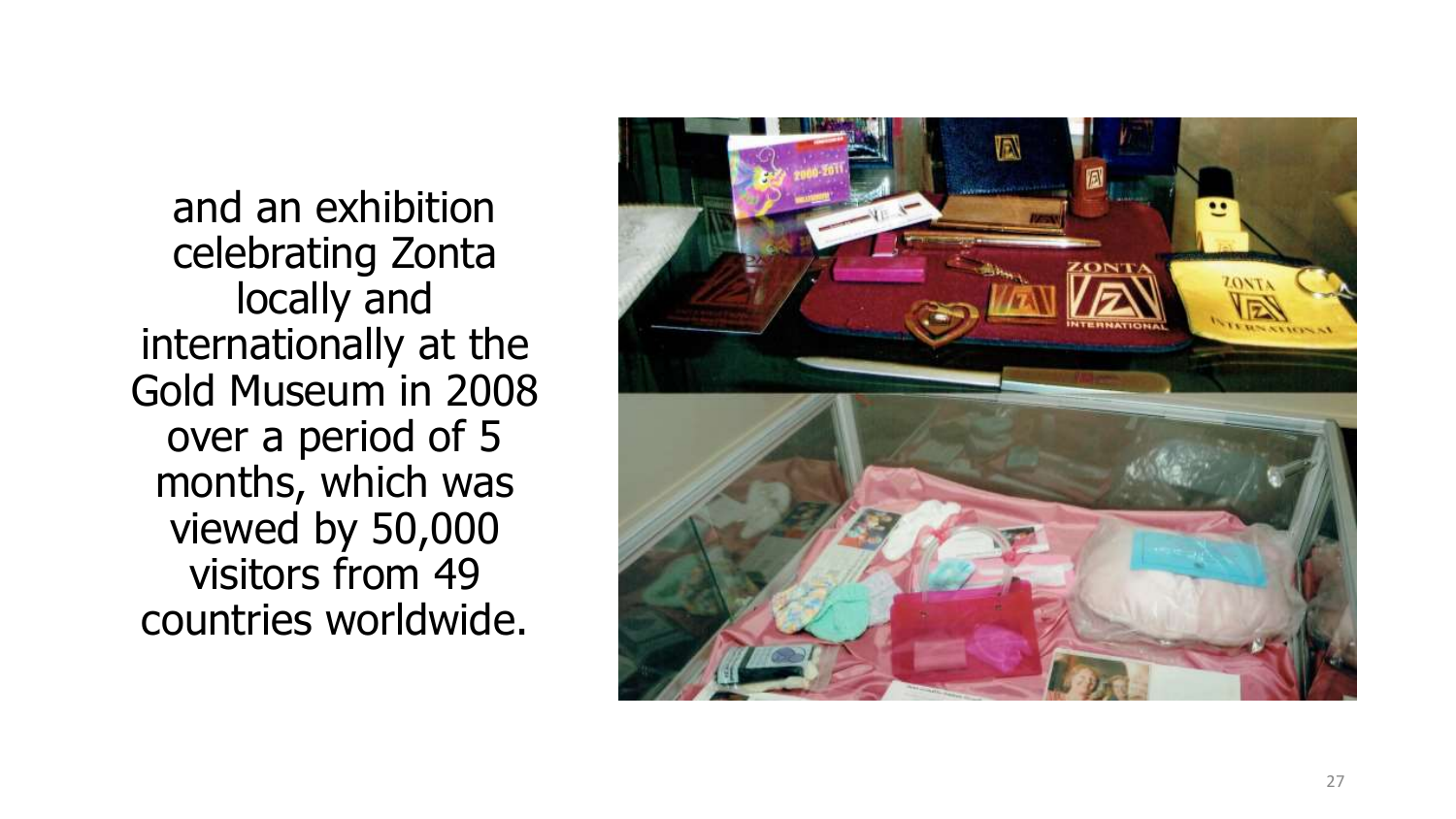and an exhibition celebrating Zonta locally and internationally at the Gold Museum in 2008 over a period of 5 months, which was viewed by 50,000 visitors from 49 countries worldwide.

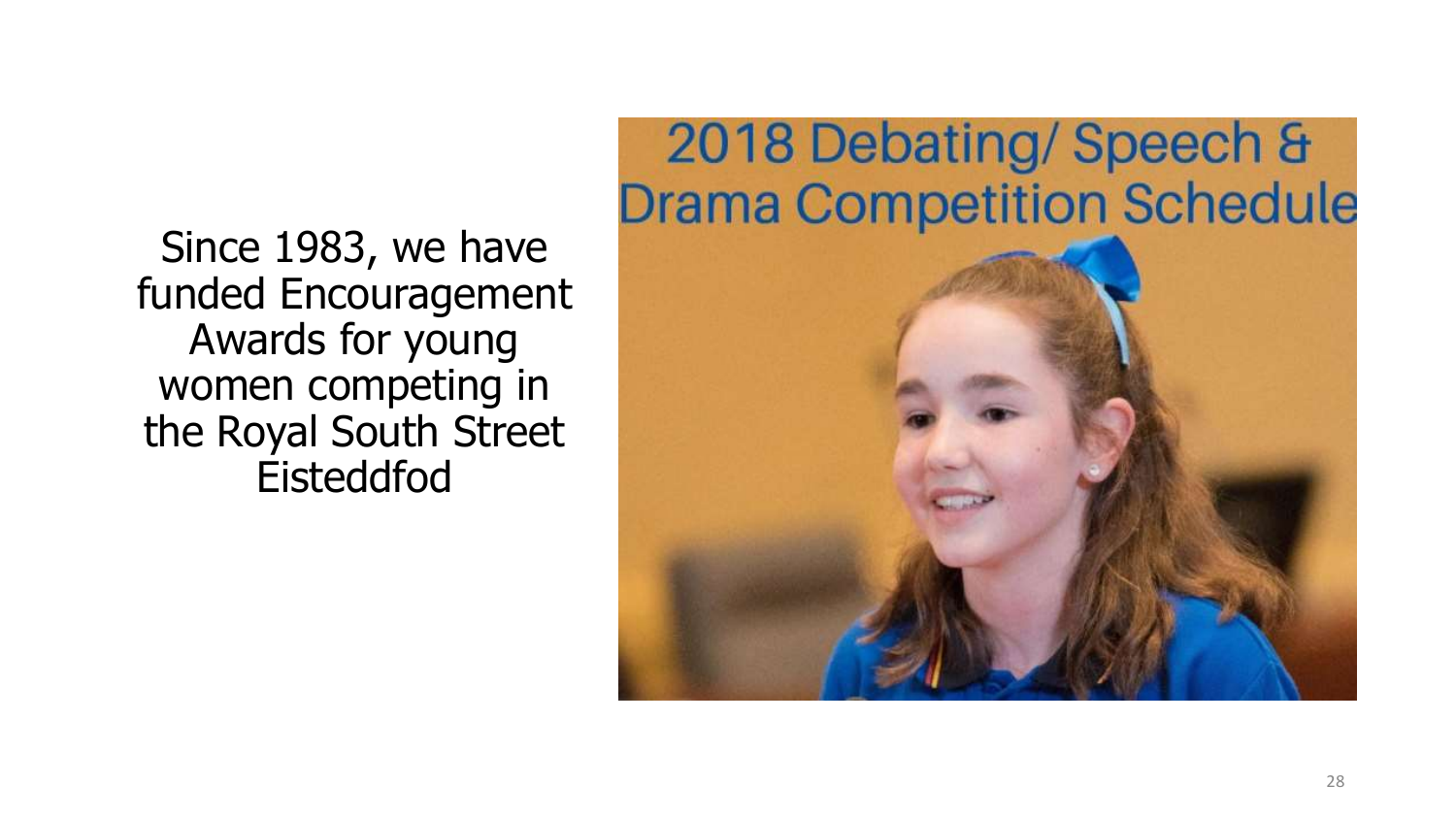Since 1983, we have funded Encouragement Awards for young women competing in the Royal South Street Eisteddfod

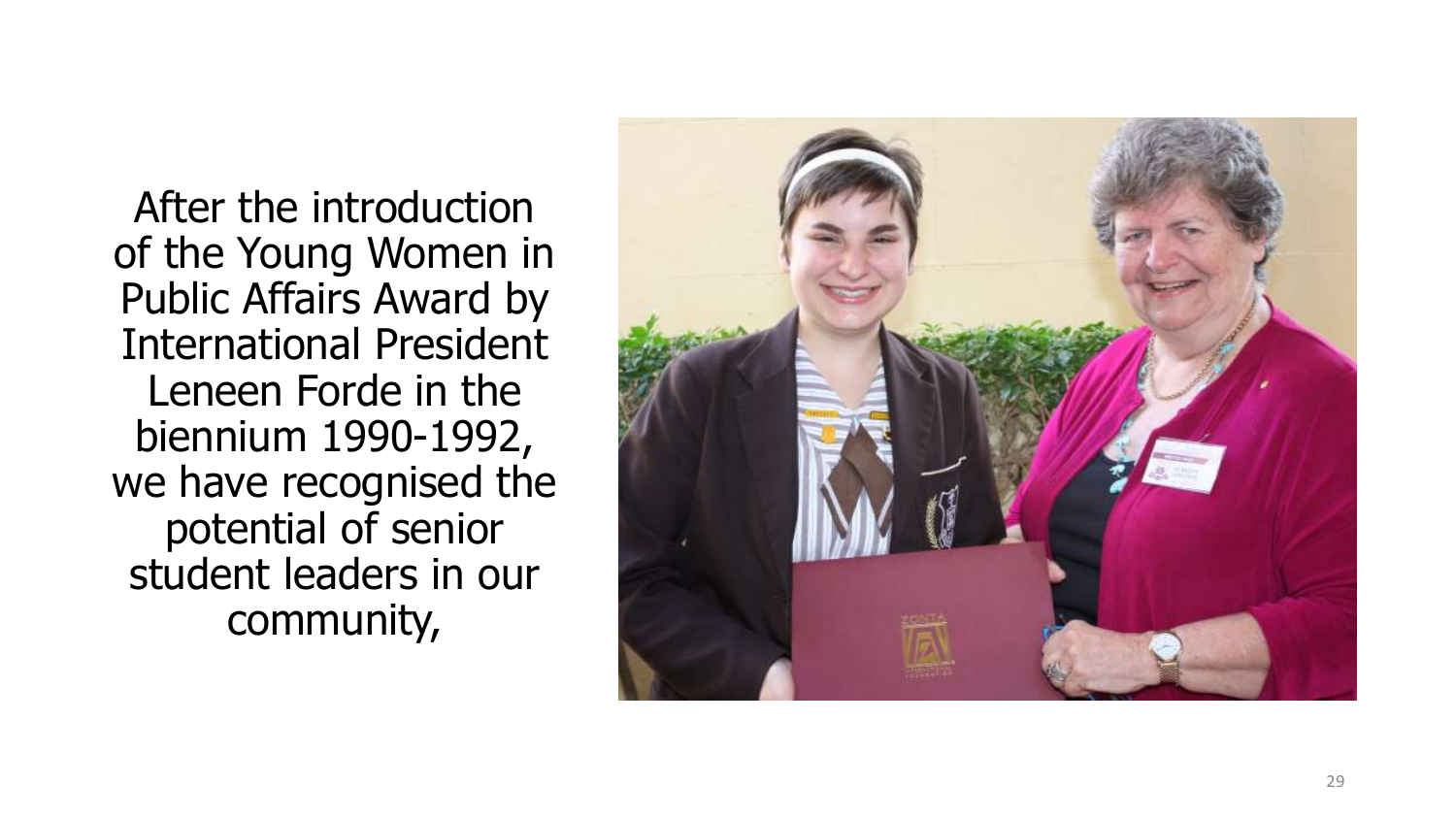After the introduction of the Young Women in Public Affairs Award by International President Leneen Forde in the biennium 1990 -1992, we have recognised the potential of senior student leaders in our community,

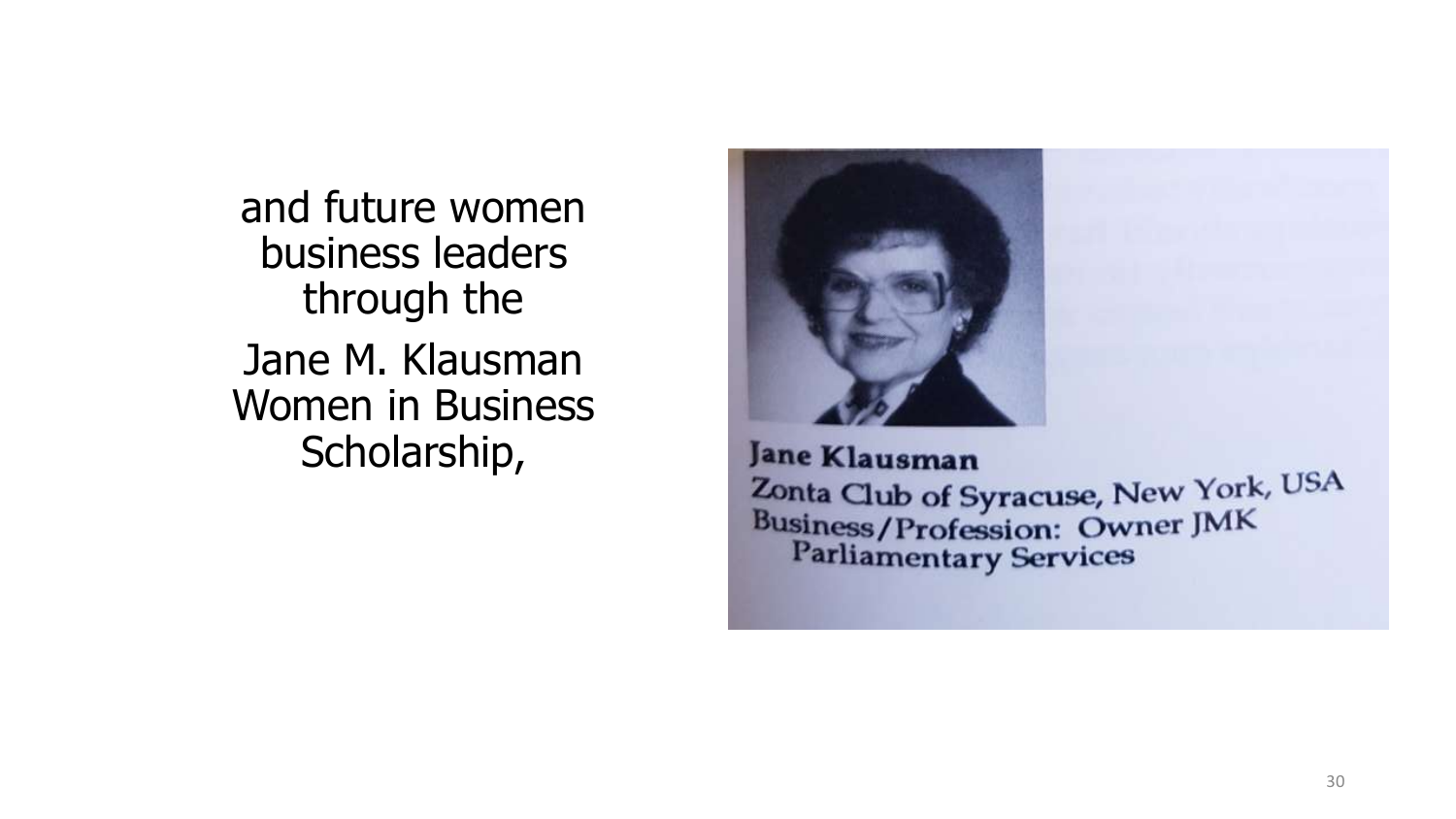and future women business leaders through the Jane M. Klausman Women in Business Scholarship,



Jane Klausman Zonta Club of Syracuse, New York, USA **Business/Profession: Owner JMK Parliamentary Services**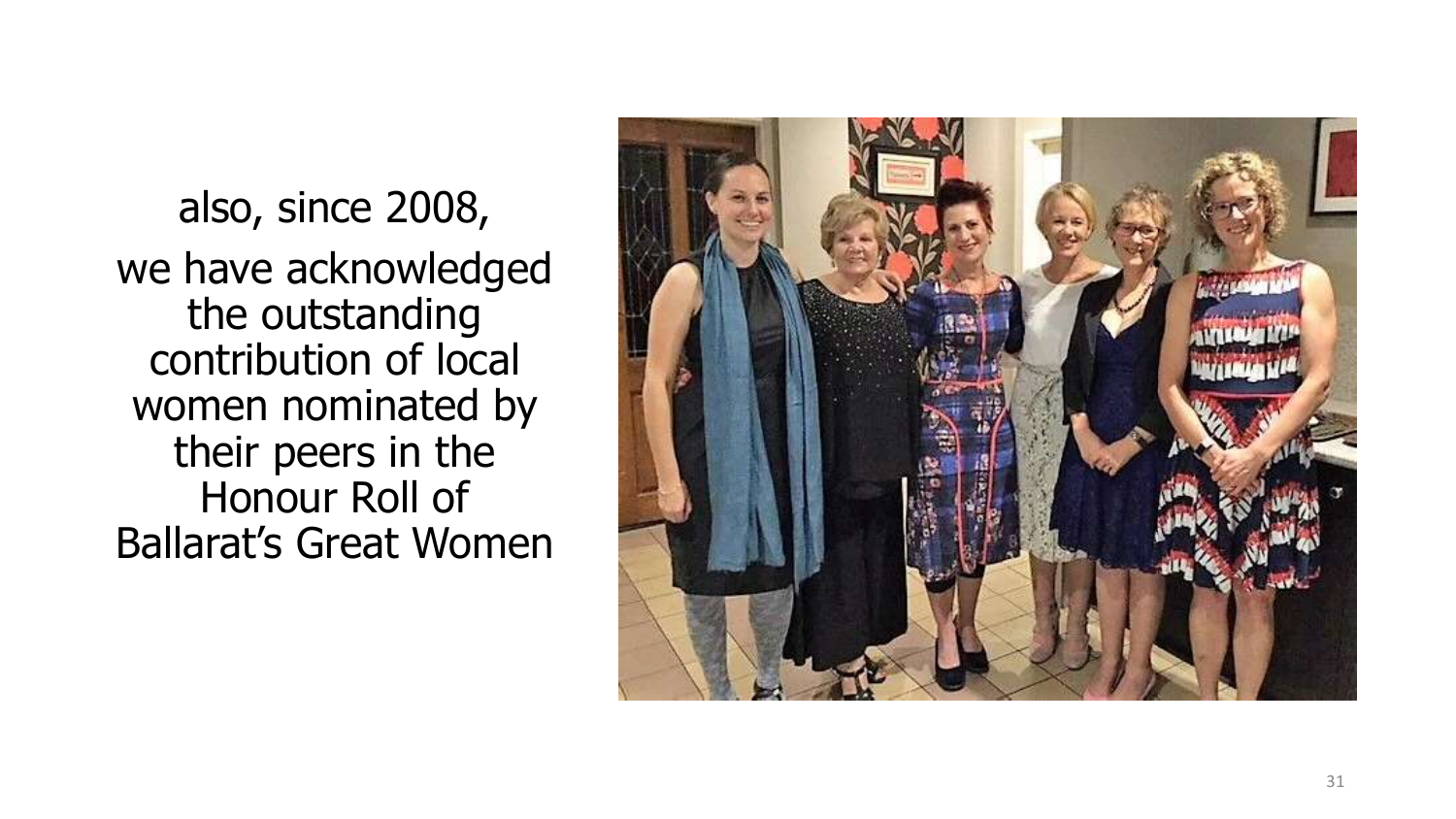also, since 2008, we have acknowledged the outstanding contribution of local women nominated by their peers in the Honour Roll of Ballarat's Great Women

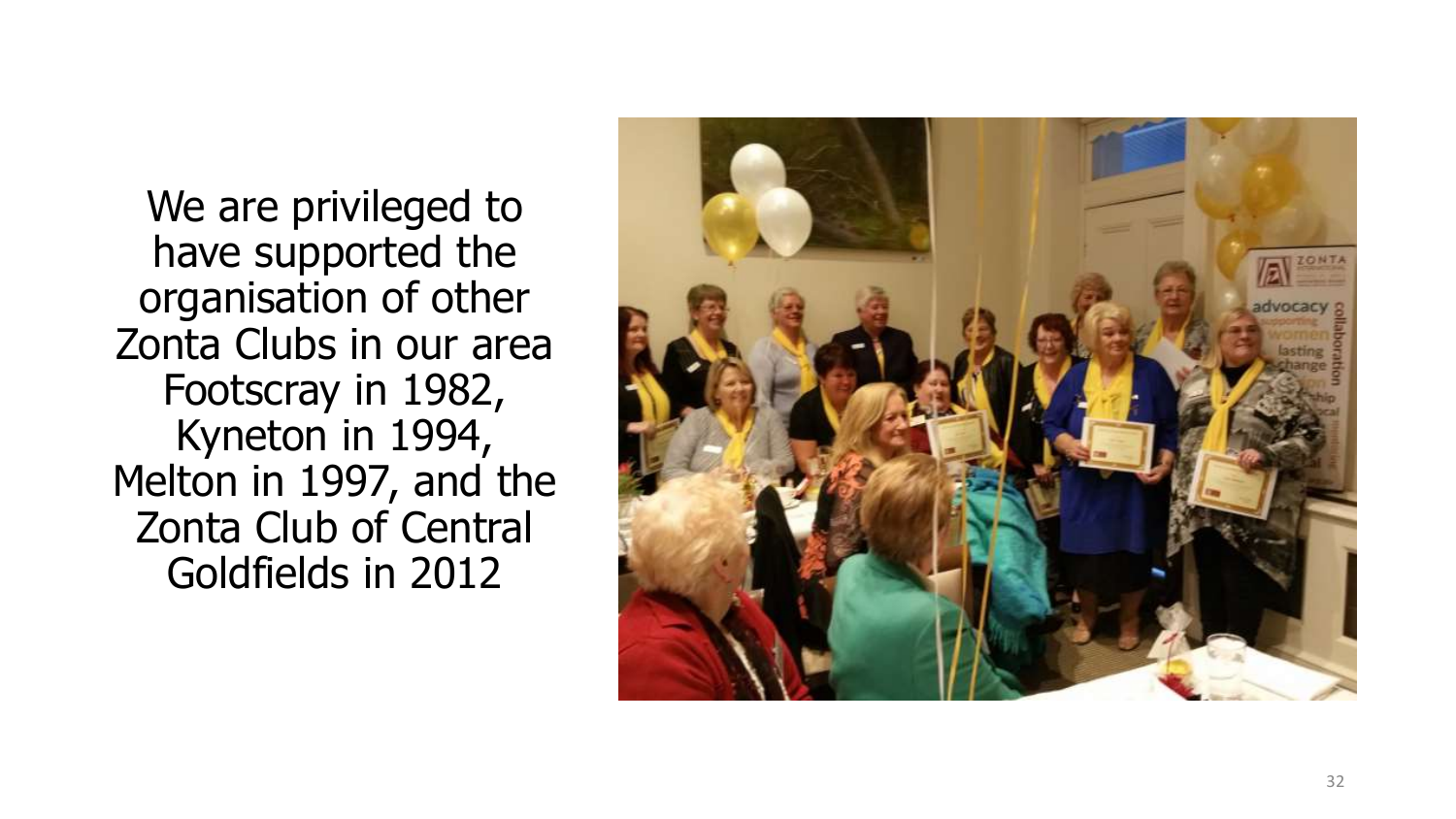We are privileged to have supported the organisation of other Zonta Clubs in our area Footscray in 1982, Kyneton in 1994, Melton in 1997, and the Zonta Club of Central Goldfields in 2012

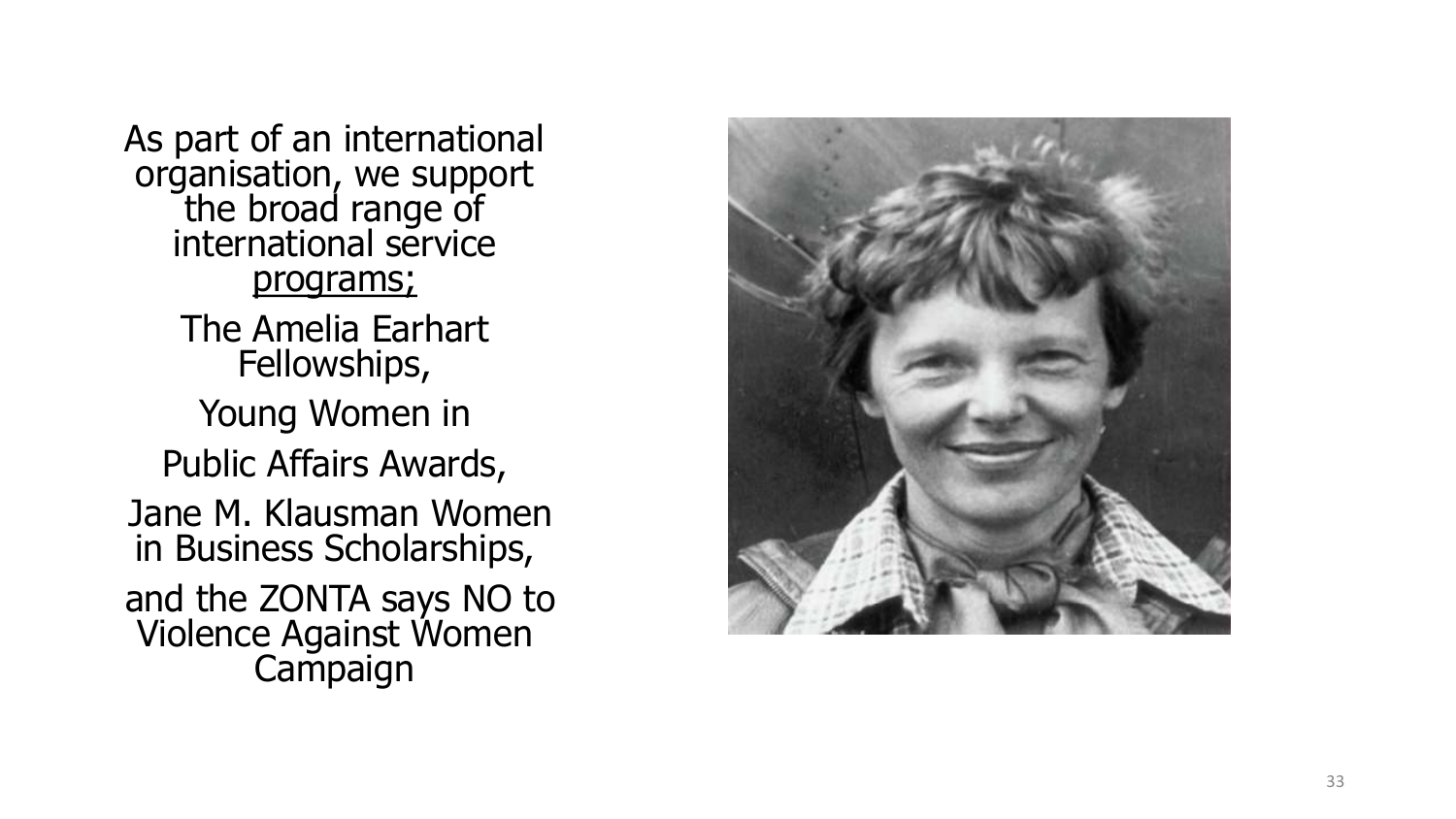As part of an international organisation, we support the broad range of international service programs; The Amelia Earhart Fellowships, Young Women in Public Affairs Awards, Jane M. Klausman Women in Business Scholarships, and the ZONTA says NO to Violence Against Women Campaign

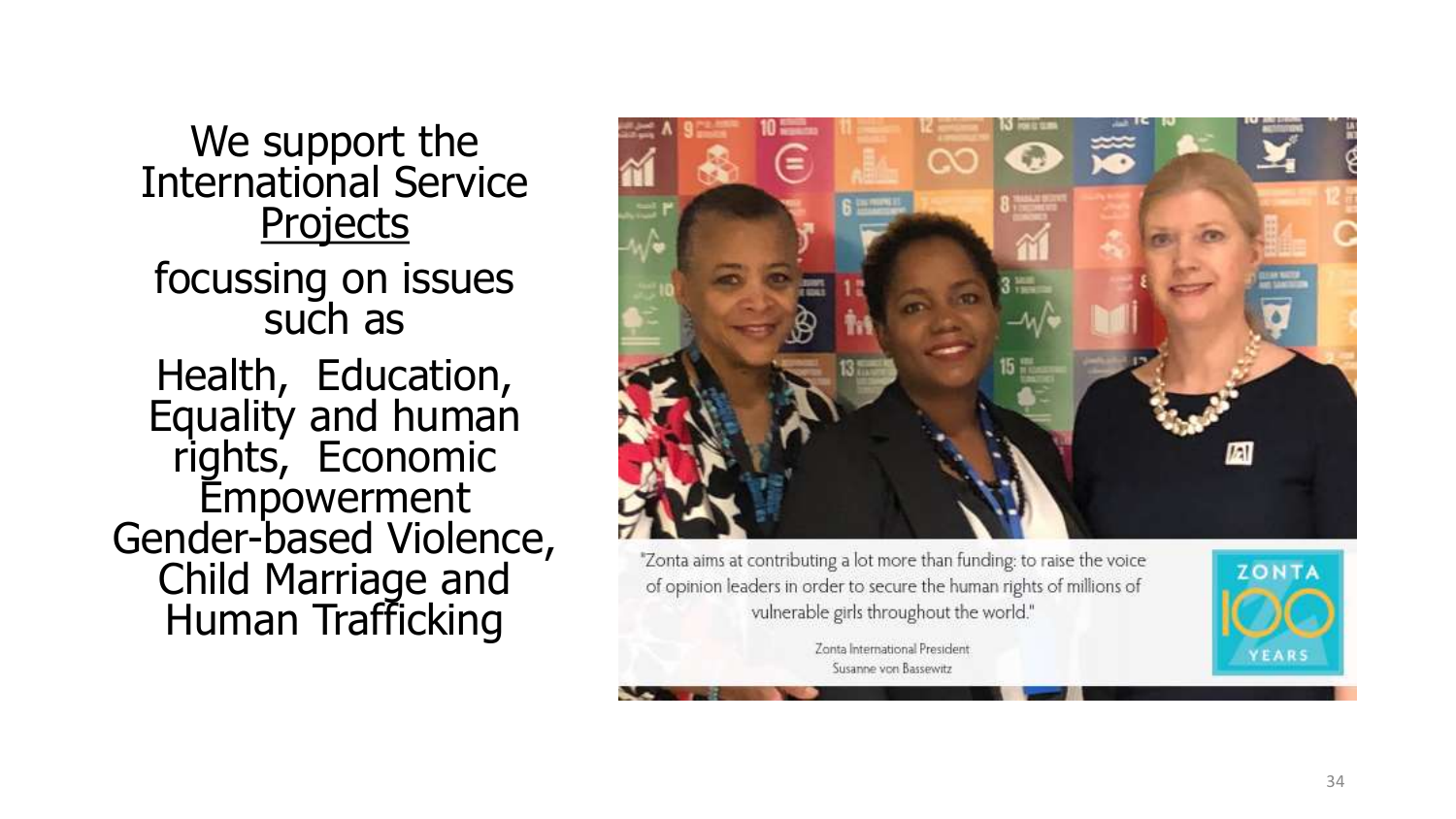We support the International Service **Projects** focussing on issues such as Health, Education, Equality and human rights, Economic Empowerment Gender -based Violence, Child Marriage and Human Trafficking



of opinion leaders in order to secure the human rights of millions of vulnerable girls throughout the world."

> Zonta International President Susanne von Bassewitz

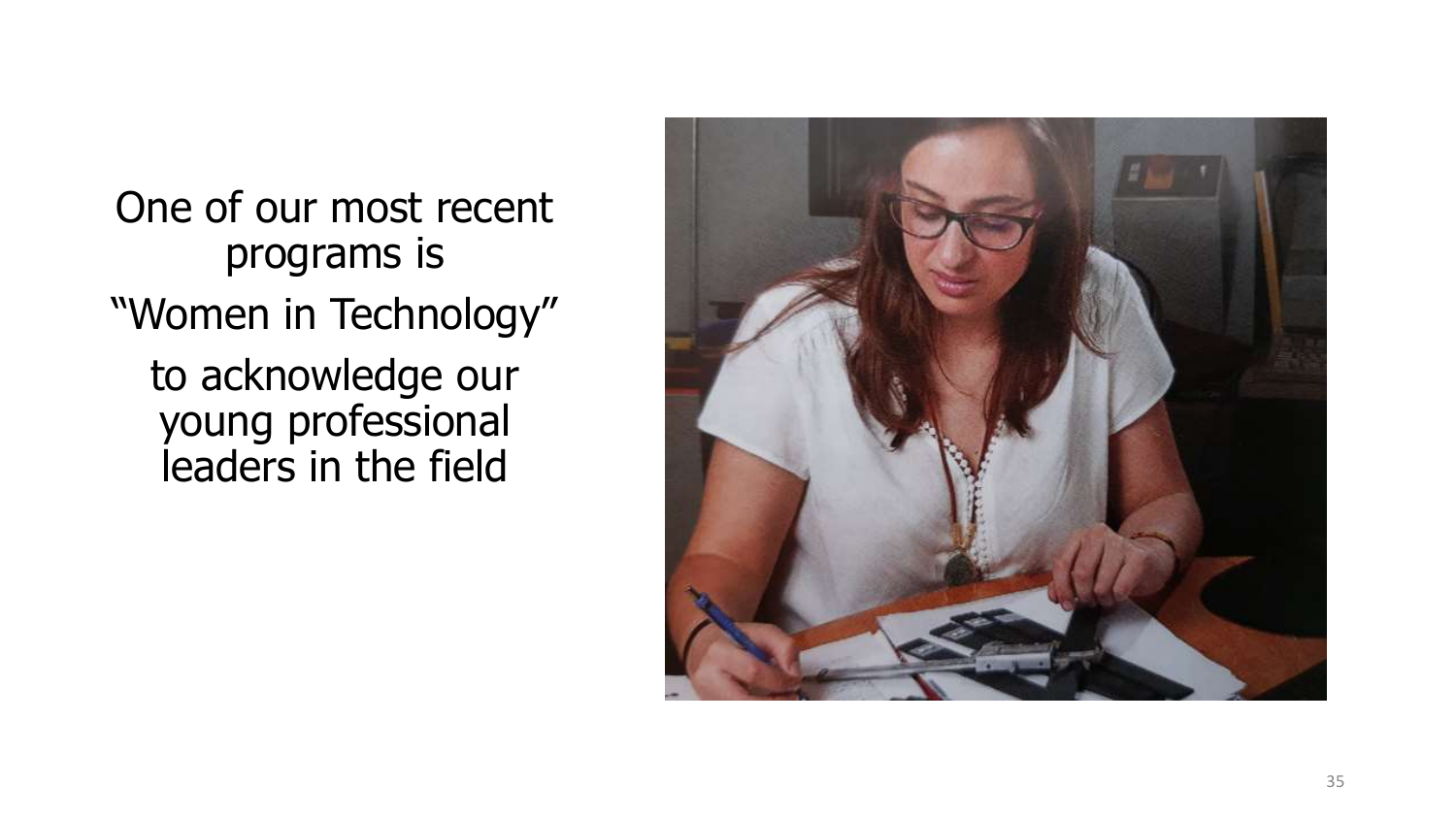One of our most recent programs is "Women in Technology" to acknowledge our young professional leaders in the field

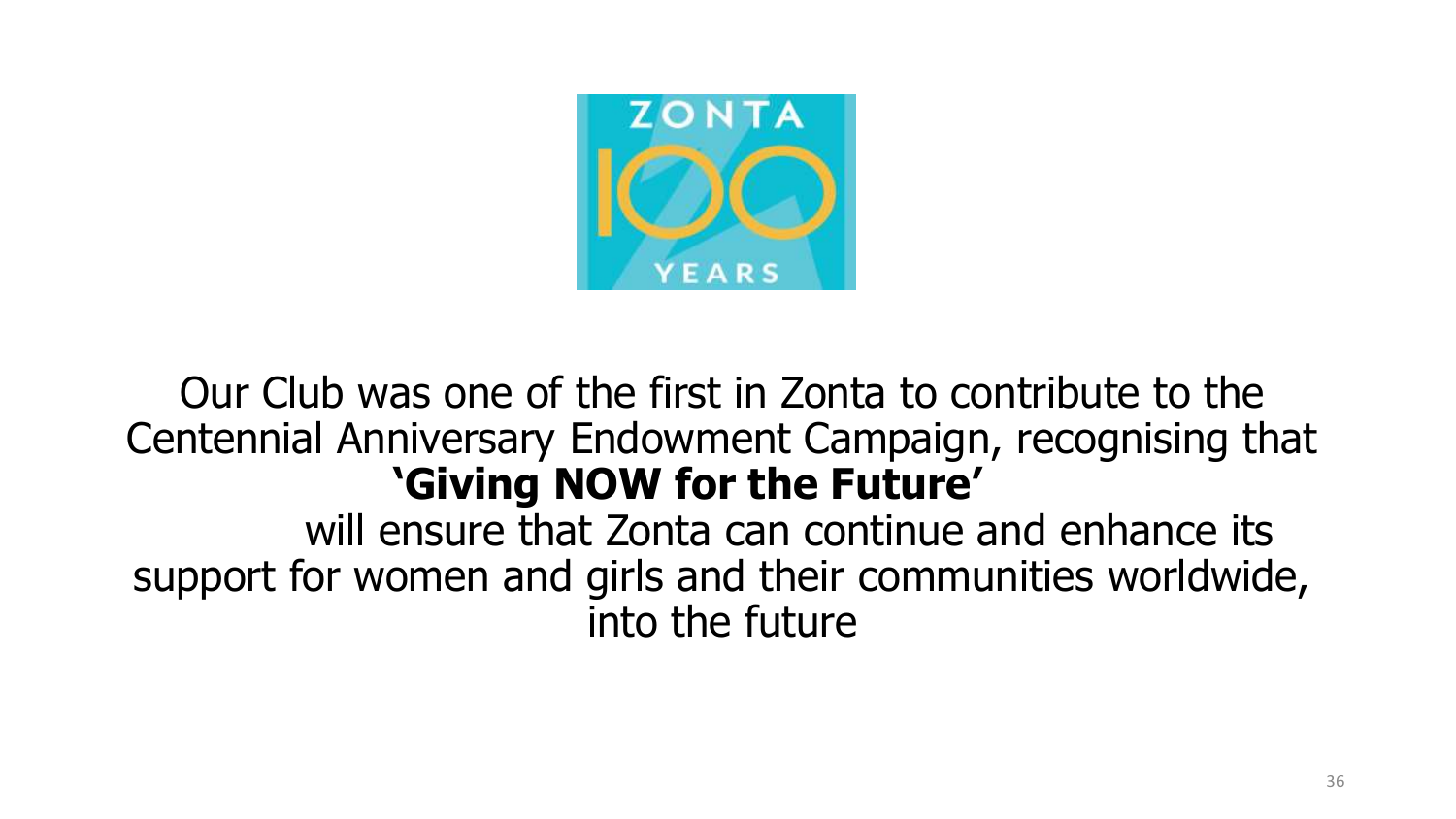

## Our Club was one of the first in Zonta to contribute to the Centennial Anniversary Endowment Campaign, recognising that **'Giving NOW for the Future'**

will ensure that Zonta can continue and enhance its support for women and girls and their communities worldwide, into the future